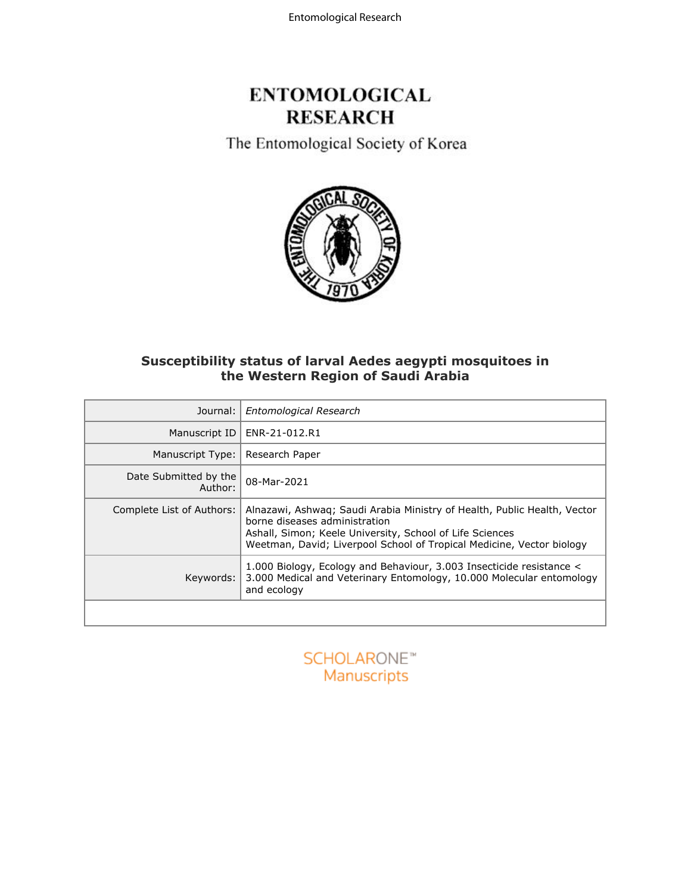Entomological Research

# **ENTOMOLOGICAL RESEARCH**

The Entomological Society of Korea



## **Susceptibility status of larval Aedes aegypti mosquitoes in the Western Region of Saudi Arabia**

| Susceptibility status of larval Aedes aegypti mosquitoes in<br>the Western Region of Saudi Arabia |                                                                                                                                                                                                                                                |  |  |  |  |
|---------------------------------------------------------------------------------------------------|------------------------------------------------------------------------------------------------------------------------------------------------------------------------------------------------------------------------------------------------|--|--|--|--|
| Journal:                                                                                          | Entomological Research                                                                                                                                                                                                                         |  |  |  |  |
| Manuscript ID                                                                                     | ENR-21-012.R1                                                                                                                                                                                                                                  |  |  |  |  |
| Manuscript Type:                                                                                  | Research Paper                                                                                                                                                                                                                                 |  |  |  |  |
| Date Submitted by the<br>Author:                                                                  | 08-Mar-2021                                                                                                                                                                                                                                    |  |  |  |  |
| Complete List of Authors:                                                                         | Alnazawi, Ashwaq; Saudi Arabia Ministry of Health, Public Health, Vector<br>borne diseases administration<br>Ashall, Simon; Keele University, School of Life Sciences<br>Weetman, David; Liverpool School of Tropical Medicine, Vector biology |  |  |  |  |
| Keywords:                                                                                         | 1.000 Biology, Ecology and Behaviour, 3.003 Insecticide resistance <<br>3.000 Medical and Veterinary Entomology, 10.000 Molecular entomology<br>and ecology                                                                                    |  |  |  |  |
|                                                                                                   |                                                                                                                                                                                                                                                |  |  |  |  |

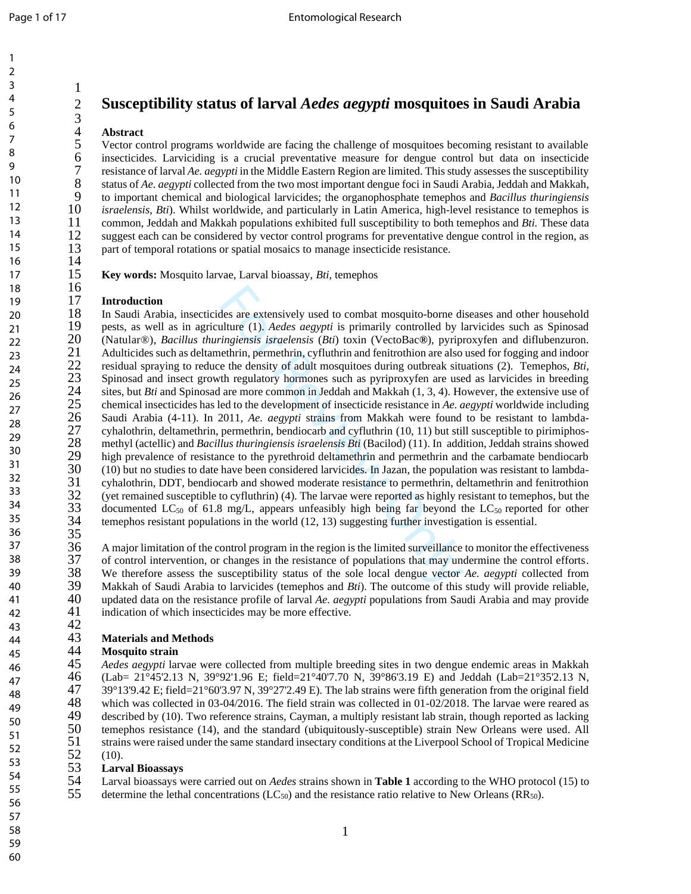$\overline{2}$ **Susceptibility status of larval** *Aedes aegypti* **mosquitoes in Saudi Arabia**<br> **Susceptibility status of larval** *Aedes aegypti* **mosquitoes in Saudi Arabia<br>
Abstract<br>
S Vector control programs worldwide are facing the challe**  *israelensis*, *Bti*). Whilst worldwide, and particularly in Latin America, high-level resistance to temephos is 11 common, Jeddah and Makkah populations exhibited full susceptibility to both temephos and *Bti*. These data<br>12 suggest each can be considered by vector control programs for preventative dengue control in the region, as 12 suggest each can be considered by vector control programs for preventative dengue control in the region, as part of temporal rotations or spatial mosaics to manage insecticide resistance. part of temporal rotations or spatial mosaics to manage insecticide resistance.  $\frac{14}{15}$  **Key words:** Mosquito larvae, Larval bioassay, *Bti* , temephos des are extensively used to combat mosquito-borne di<br>ulture (1). *Aedes aegypti* is primarily controlled by 1<br>*ingiensis israelensis* (*Bti*) toxin (VectoBac®), pyriptethrin, permethrin, cyfluthrin and fenitrothion are al **Introduction** In Saudi Arabia, insecticides are extensively used to combat mosquito -borne diseases and other household pests, as well as in agriculture (1). *Aedes aegypti* is primarily controlled by larvicides such as Spinosad  $\frac{20}{21}$ (Natular®), *Bacillus thuringiensis israelensis* (*Bti*) toxin (VectoBac **®** ), pyriproxyfen and diflubenzuron. 21 Adulticides such as deltamethrin, permethrin, cyfluthrin and fenitrothion are also used for fogging and indoor residual spraying to reduce the density of adult mosquitoes during outbreak situations (2). Temephos, *Bti*, residual spraying to reduce the density of adult mosquitoes during outbreak situations (2). Temephos, *Bti*, 23 Spinosad and insect growth regulatory hormones such as pyriproxyfen are used as larvicides in breeding sites, but *Bti* and Spinosad are more common in Jeddah and Makkah  $(1, 3, 4)$ . However, the extensive use of 24 sites, but *Bti* and Spinosad are more common in Jeddah and Makkah (1, 3, 4). However, the extensive use of chemical insecticides has led to the development of insecticide resistance in *Ae. aegypti* worldwide including chemical insecticides has led to the development of insecticide resistance in *Ae. aegypti* worldwide including 26 Saudi Arabia (4-11). In 2011, Ae. *aegypti* strains from Makkah were found to be resistant to lambda- 27 cyhalothrin, deltamethrin, permethrin, bendiocarb and cyfluthrin (10, 11) but still susceptible to pirimiphos- methyl (actellic) and *Bacillus thuringiensis israelensis Bti* (Bacilod) (11) . In addition, Jeddah strains showed 29 high prevalence of resistance to the pyrethroid deltamethrin and permethrin and the carbamate bendiocarb (10) but no studies to date have been considered larvicides. In Jazan, the population was resistant to lambda- (10) but no studies to date have been considered larvicides. In Jazan, the population was resistant to lambda - 31 cyhalothrin, DDT, bendiocarb and showed moderate resistance to permethrin, deltamethrin and fenitrothion<br>32 (yet remained susceptible to cyfluthrin) (4). The larvae were reported as highly resistant to temephos, but the 32 (yet remained susceptible to cyfluthrin) (4). The larvae were reported as highly resistant to temephos, but the documented LC<sub>50</sub> of 61.8 mg/L, appears unfeasibly high being far beyond the LC<sub>50</sub> reported for other 33 documented LC<sub>50</sub> of 61.8 mg/L, appears unfeasibly high being far beyond the LC<sub>50</sub> reported for other temephos resistant populations in the world (12, 13) suggesting further investigation is essential. temephos resistant populations in the world (12, 13) suggesting further investigation is essential.

35<br>36 36 A major limitation of the control program in the region is the limited surveillance to monitor the effectiveness of control intervention, or changes in the resistance of populations that may undermine the control effort 37 of control intervention, or changes in the resistance of populations that may undermine the control efforts.<br>38 We therefore assess the susceptibility status of the sole local dengue vector *Ae. aegypti* collected from 38 We therefore assess the susceptibility status of the sole local dengue vector *Ae. aegypti* collected from 39 Makkah of Saudi Arabia to larvicides (temephos and *Bti*). The outcome of this study will provide reliable. Makkah of Saudi Arabia to larvicides (temephos and *Bti*). The outcome of this study will provide reliable, 40 updated data on the resistance profile of larval *Ae. aegypti* populations from Saudi Arabia and may provide<br>41 indication of which insecticides may be more effective. indication of which insecticides may be more effective.

42<br>43 **Materials and Methods**

# **Mosquito strain**

 *Aedes aegypti* larvae were collected from multiple breeding sites in two dengue endemic areas in Makkah (Lab= 21°45'2.13 N , 39°92'1.96 E; fie ld=21°40'7.70 N, 39°86'3.19 E) and Jeddah (Lab=21°35'2.13 N, 39°13'9.42 E ; field=21°60'3.97 N, 39°27'2.49 E). The lab strains were fifth generation from the original field 48 which was collected in 03-04/2016. The field strain was collected in 01-02/2018. The larvae were reared as 49 described by (10). Two reference strains, Cayman, a multiply resistant lab strain, though reported as lacking<br>50 temephos resistance (14), and the standard (ubiquitously-susceptible) strain New Orleans were used. All temephos resistance (14), and the standard (ubiquitously -susceptible ) strain New Orleans were used . All 51 strains were raised under the same standard insectary conditions at the Liverpool School of Tropical Medicine (10).

## $\frac{52}{53}$  (10). **Larval Bioassays**

 Larval bioassays were carried out on *Aedes* strains shown in **Table 1** according to the WHO protocol (15) to 55 determine the lethal concentrations  $(LC_{50})$  and the resistance ratio relative to New Orleans ( $\overline{RR}_{50}$ ).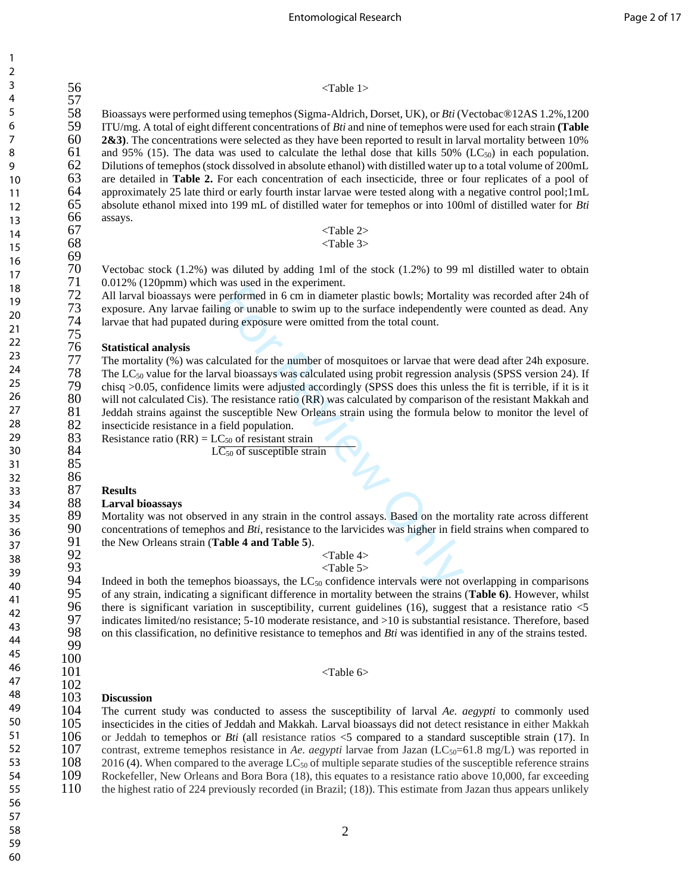Entomological Research **Page 2 of 17** and 2 of 17

| 2  |            |                                                                                                                                                                                                                                      |
|----|------------|--------------------------------------------------------------------------------------------------------------------------------------------------------------------------------------------------------------------------------------|
| 3  | 56         | $\langle$ Table 1>                                                                                                                                                                                                                   |
| 4  | 57         |                                                                                                                                                                                                                                      |
| 5  | 58         | Bioassays were performed using temephos (Sigma-Aldrich, Dorset, UK), or Bti (Vectobac®12AS 1.2%, 1200                                                                                                                                |
| 6  | 59         | $ITU/mg$ . A total of eight different concentrations of <i>Bti</i> and nine of temephos were used for each strain (Table                                                                                                             |
| 7  | 60         | 2&3). The concentrations were selected as they have been reported to result in larval mortality between 10%                                                                                                                          |
| 8  | 61         | and 95% (15). The data was used to calculate the lethal dose that kills $50\%$ (LC <sub>50</sub> ) in each population.                                                                                                               |
| 9  | 62         | Dilutions of temephos (stock dissolved in absolute ethanol) with distilled water up to a total volume of 200mL                                                                                                                       |
| 10 | 63         | are detailed in Table 2. For each concentration of each insecticide, three or four replicates of a pool of                                                                                                                           |
| 11 | 64         | approximately 25 late third or early fourth instar larvae were tested along with a negative control pool;1mL                                                                                                                         |
| 12 | 65         | absolute ethanol mixed into 199 mL of distilled water for temephos or into 100ml of distilled water for Bti                                                                                                                          |
| 13 | 66         | assays.                                                                                                                                                                                                                              |
| 14 | 67         | <table 2=""></table>                                                                                                                                                                                                                 |
| 15 | 68         | <table 3=""></table>                                                                                                                                                                                                                 |
| 16 | 69         |                                                                                                                                                                                                                                      |
| 17 | 70         | Vectobac stock $(1.2%)$ was diluted by adding 1ml of the stock $(1.2%)$ to 99 ml distilled water to obtain                                                                                                                           |
| 18 | 71         | 0.012% (120pmm) which was used in the experiment.                                                                                                                                                                                    |
| 19 | 72         | All larval bioassays were performed in 6 cm in diameter plastic bowls; Mortality was recorded after 24h of                                                                                                                           |
| 20 | 73         | exposure. Any larvae failing or unable to swim up to the surface independently were counted as dead. Any                                                                                                                             |
| 21 | 74<br>75   | larvae that had pupated during exposure were omitted from the total count.                                                                                                                                                           |
| 22 | 76         |                                                                                                                                                                                                                                      |
| 23 | 77         | <b>Statistical analysis</b><br>The mortality (%) was calculated for the number of mosquitoes or larvae that were dead after 24h exposure.                                                                                            |
| 24 | 78         | The LC <sub>50</sub> value for the larval bioassays was calculated using probit regression analysis (SPSS version 24). If                                                                                                            |
| 25 | 79         | chisq >0.05, confidence limits were adjusted accordingly (SPSS does this unless the fit is terrible, if it is it                                                                                                                     |
| 26 | 80         | will not calculated Cis). The resistance ratio (RR) was calculated by comparison of the resistant Makkah and                                                                                                                         |
| 27 | 81         | Jeddah strains against the susceptible New Orleans strain using the formula below to monitor the level of                                                                                                                            |
| 28 | 82         | insecticide resistance in a field population.                                                                                                                                                                                        |
| 29 | 83         | Resistance ratio $(RR) = LC_{50}$ of resistant strain                                                                                                                                                                                |
| 30 | 84         | $L\overline{C_{50}}$ of susceptible strain                                                                                                                                                                                           |
| 31 | 85         |                                                                                                                                                                                                                                      |
| 32 | 86         |                                                                                                                                                                                                                                      |
| 33 | 87         | <b>Results</b>                                                                                                                                                                                                                       |
| 34 | 88         | Larval bioassays                                                                                                                                                                                                                     |
| 35 | 89         | Mortality was not observed in any strain in the control assays. Based on the mortality rate across different                                                                                                                         |
| 36 | 90         | concentrations of temephos and Bti, resistance to the larvicides was higher in field strains when compared to                                                                                                                        |
| 37 | 91         | the New Orleans strain (Table 4 and Table 5).                                                                                                                                                                                        |
| 38 | 92         | <table 4=""></table>                                                                                                                                                                                                                 |
| 39 | 93         | $<$ Table 5 $>$                                                                                                                                                                                                                      |
| 40 | 94         | Indeed in both the temephos bioassays, the $LC_{50}$ confidence intervals were not overlapping in comparisons                                                                                                                        |
| 41 | 95         | of any strain, indicating a significant difference in mortality between the strains (Table 6). However, whilst                                                                                                                       |
| 42 | 96         | there is significant variation in susceptibility, current guidelines (16), suggest that a resistance ratio $<$ 5                                                                                                                     |
| 43 | 97         | indicates limited/no resistance; 5-10 moderate resistance, and >10 is substantial resistance. Therefore, based                                                                                                                       |
| 44 | 98         | on this classification, no definitive resistance to temephos and <i>Bti</i> was identified in any of the strains tested.                                                                                                             |
| 45 | 99         |                                                                                                                                                                                                                                      |
| 46 | 100        |                                                                                                                                                                                                                                      |
| 47 | 101        | <table 6=""></table>                                                                                                                                                                                                                 |
| 48 | 102        |                                                                                                                                                                                                                                      |
| 49 | 103        | <b>Discussion</b>                                                                                                                                                                                                                    |
| 50 | 104        | The current study was conducted to assess the susceptibility of larval Ae. aegypti to commonly used                                                                                                                                  |
| 51 | 105        | insecticides in the cities of Jeddah and Makkah. Larval bioassays did not detect resistance in either Makkah                                                                                                                         |
| 52 | 106<br>107 | or Jeddah to temephos or <i>Bti</i> (all resistance ratios $<$ 5 compared to a standard susceptible strain (17). In                                                                                                                  |
| 53 | 108        | contrast, extreme temephos resistance in Ae. aegypti larvae from Jazan ( $LC_{50}$ =61.8 mg/L) was reported in<br>2016 (4). When compared to the average $LC_{50}$ of multiple separate studies of the susceptible reference strains |
| 54 | 109        | Rockefeller, New Orleans and Bora Bora (18), this equates to a resistance ratio above 10,000, far exceeding                                                                                                                          |
| 55 | 110        | the highest ratio of 224 previously recorded (in Brazil; (18)). This estimate from Jazan thus appears unlikely                                                                                                                       |
| 56 |            |                                                                                                                                                                                                                                      |
| 57 |            |                                                                                                                                                                                                                                      |
| 58 |            | $\overline{2}$                                                                                                                                                                                                                       |
| 59 |            |                                                                                                                                                                                                                                      |
|    |            |                                                                                                                                                                                                                                      |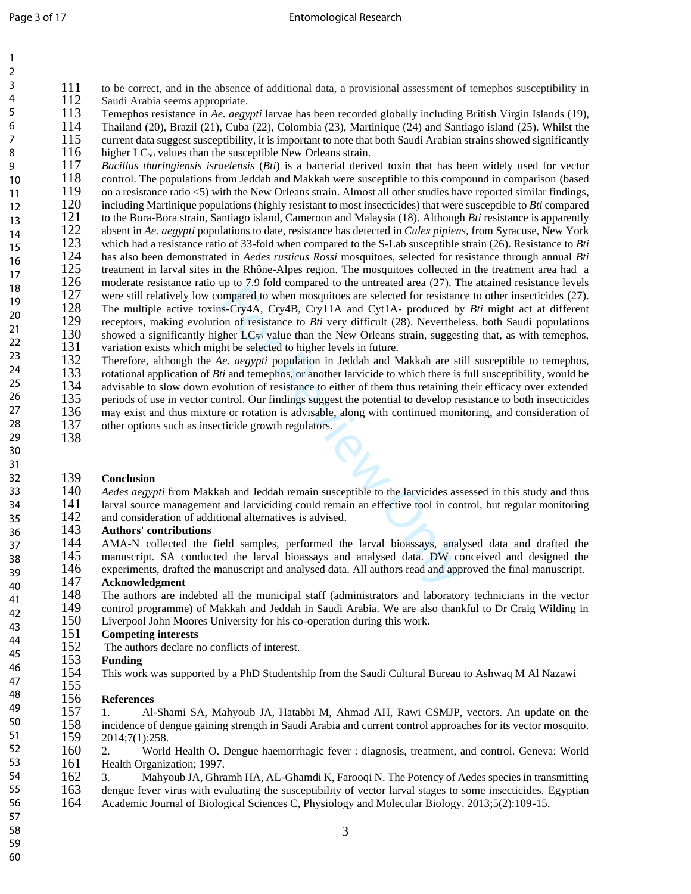### Page 3 of 17 **Entomological Research Page 3 of 17**

111 to be correct, and in the absence of additional data, a provisional assessment of temephos susceptibility in Saudi Arabia seems appropriate.

113 Temephos resistance in *Ae. aegypti* larvae has been recorded globally including British Virgin Islands (19), 114 Thailand (20), Brazil (21), Cuba (22), Colombia (23), Martinique (24) and Santiago island (25). Whilst t Thailand (20), Brazil (21), Cuba (22), Colombia (23), Martinique (24) and Santiago island (25) . Whilst the current data suggest susceptibility, it is important to note that both Saudi Arabian strains showed significantly

*Bacillus thuringiensis israelensis* (*Bti*) is a bacterial derived toxin that has been widely used for vector control. The populations from Jeddah and Makkah were susceptible to this compound in comparison (based 119 on a resistance ratio <5) with the New Orleans strain. Almost all other studies have reported similar findings, including Martinique populations (highly resistant to most insecticides) that were susceptible to *Bti* compared 121 to the Bora-Bora strain, Santiago island, Cameroon and Malaysia (18). Although *Bti* resistance is apparently absent in *Ae. aegypti* populations to date, resistance has detected in *Culex pipiens,* from Syracuse, New York 123 which had a resistance ratio of 33-fold when compared to the S-Lab susceptible strain (26). Resistance to *Bti*  has also been demonstrated in *Aedes rusticus Rossi* mosquitoes, selected for resistance through annual *Bti*  treatment in larval sites in the Rhône -Alpes region. The mosquitoes collected in the treatment area had a moderate resistance ratio up to 7.9 fold compared to the untreated area (27). The attained resistance levels 127 were still relatively low compared to when mosquitoes are selected for resistance to other insecticides (27).<br>128 The multiple active toxins-Cry4A, Cry4B, Cry11A and Cyt1A- produced by *Bti* might act at different The multiple active toxins -Cry4A, Cry4B, Cry11A and Cyt1A - produced by *Bti* might act at different 129 receptors, making evolution of resistance to *Bti* very difficult (28). Nevertheless, both Saudi populations showed a significantly higher LC<sub>50</sub> value than the New Orleans strain, suggesting that, as with temephos, showed a significantly higher  $LC_{50}$  value than the New Orleans strain, suggesting that, as with temephos,

132 Therefore, although the *Ae. aegypti* population in Jeddah and Makkah are still susceptible to temephos, rotational application of *Bti* and temephos, or another larvicide to which there is full susceptibility, would b 133 rotational application of *Bti* and temephos, or another larvicide to which there is full susceptibility, would be advisable to slow down evolution of resistance to either of them thus retaining their efficacy over ext 134 advisable to slow down evolution of resistance to either of them thus retaining their efficacy over extended<br>135 periods of use in vector control. Our findings suggest the potential to develop resistance to both insect 135 periods of use in vector control. Our findings suggest the potential to develop resistance to both insecticides<br>136 may exist and thus mixture or rotation is advisable, along with continued monitoring, and consideratio 136 may exist and thus mixture or rotation is advisable, along with continued monitoring, and consideration of other options such as insecticide growth regulators.

- 
- 
- 
- 
- 
- 
- 
- 
- 

 

## **Conclusion**

131<br>132

139<br>140 *Aedes aegypti* from Makkah and Jeddah remain susceptible to the larvicides assessed in this study and thus 141 larval source management and larviciding could remain an effective tool in control, but regular monitoring 141 larval source management and larviciding could remain an effective tool in control, but regular monitoring and consideration of additional alternatives is advised. and consideration of additional alternatives is advised .

### 

En es compared to when mosquitoes are suitabled at the compared to when mosquitoes are selected for resistance is s-Cry4A, Cry4B, Cry11A and Cyt1A- produced by on of resistance to *Bti* very difficult (28). Neverthele ther **Authors' contributions** AMA -N collected the field samples, performed the larval bioassays, analysed data and drafted the manuscript. SA conducted the larval bioassays and analysed data. DW conceived and designed the 146 experiments, drafted the manuscript and analysed data. All authors read and approved the final manuscript.<br>147 Acknowledgment

### **Acknowledgment**

148 The authors are indebted all the municipal staff (administrators and laboratory technicians in the vector control programme) of Makkah and Jeddah in Saudi Arabia. We are also thankful to Dr Craig Wilding in 149 control programme) of Makkah and Jeddah in Saudi Arabia. We are also thankful to Dr Craig Wilding in 150 Liverpool John Moores University for his co-operation during this work. 150 Liverpool John Moores University for his co-operation during this work. 

### **Competing interests**

152 The authors declare no conflicts of interest.<br>153 Funding 

112 Saudi Arabia seems appropriate.<br>113 Temephos resistance in Ae. aegy

116 higher LC<sub>50</sub> values than the susceptible New Orleans strain.<br>117 Bacillus thuringiensis israelensis (Bti) is a bacterial derive

variation exists which might be selected to higher levels in future.

other options such as insecticide growth regulators.

 **Funding** This work was supported by a PhD Studentship from the Saudi Cultural Bureau to Ashwaq M Al Nazawi 

## **References**

157<br>158 . Al -Shami SA, Mahyoub JA, Hatabbi M, Ahmad AH, Rawi CSMJP, vectors. An update on the 158 incidence of dengue gaining strength in Saudi Arabia and current control approaches for its vector mosquito.<br>159 2014:7(1):258. 159 2014;7(1):258.<br>160 2. World

2. World Health O. Dengue haemorrhagic fever : diagnosis, treatment, and control. Geneva: World Health Organization; 1997. 

162 3. Mahyoub JA, Ghramh HA, AL-Ghamdi K, Farooqi N. The Potency of Aedes species in transmitting 163 dengue fever virus with evaluating the susceptibility of vector larval stages to some insecticides. Egyptian 164 Academic Journal of Biological Sciences C. Physiology and Molecular Biology. 2013:5(2):109-15. Academic Journal of Biological Sciences C, Physiology and Molecular Biology. 2013;5(2):109 -15.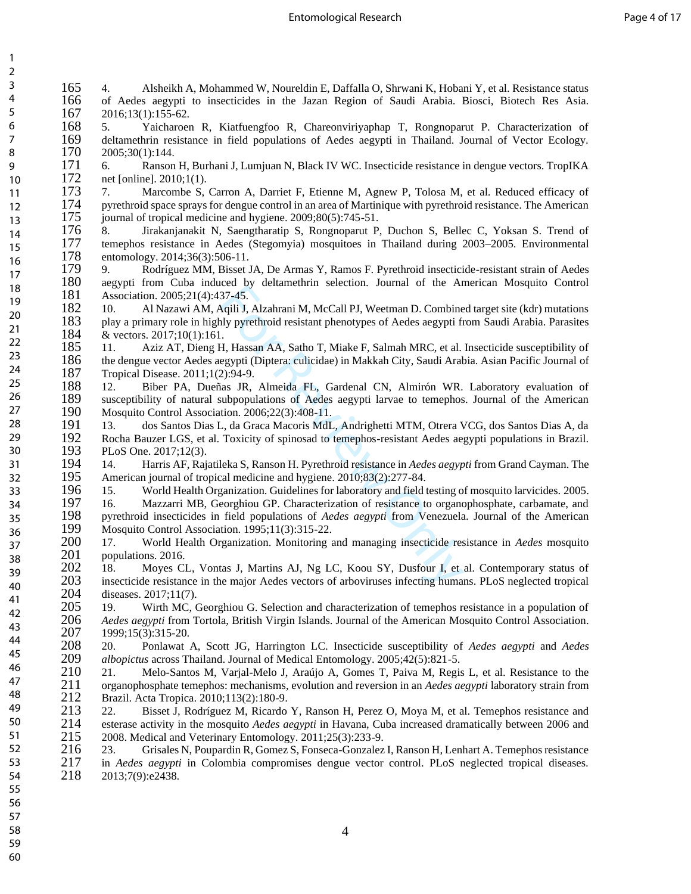4. Alsheikh A, Mohammed W, Noureldin E, Daffalla O, Shrwani K, Hobani Y, et al. Resistance status of Aedes aegypti to insecticides in the Jazan Region of Saudi Arabia. Biosci, Biotech Res Asia. 167 2016;13(1):155-62.<br>168 5. Yaicharoer

 5. Yaicharoen R, Kiatfuengfoo R, Chareonviriyaphap T, Rongnoparut P. Characterization of deltamethrin resistance in field populations of Aedes aegypti in Thailand. Journal of Vector Ecology. 170 2005;30(1):144.<br>171 6. Ranson

171 6. Ranson H, Burhani J, Lumjuan N, Black IV WC. Insecticide resistance in dengue vectors. TropIKA net [online]. 2010;1(1). net [online].  $2010;1(1)$ .

173 7. Marcombe S, Carron A, Darriet F, Etienne M, Agnew P, Tolosa M, et al. Reduced efficacy of pyrethroid space sprays for dengue control in an area of Martinique with pyrethroid resistance. The American pyrethroid space sprays for dengue control in an area of Martinique with pyrethroid resistance. The American 175 journal of tropical medicine and hygiene. 2009;80(5):745-51.<br>176 8. Jirakanjanakit N, Saengtharatip S, Rongnoparut P.

176 8. Jirakanjanakit N, Saengtharatip S, Rongnoparut P, Duchon S, Bellec C, Yoksan S. Trend of temephos resistance in Aedes (Stegomyia) mosquitoes in Thailand during 2003–2005. Environmental temephos resistance in Aedes (Stegomyia) mosquitoes in Thailand during 2003–2005. Environmental 178 entomology. 2014;36(3):506-11.<br>179 9. Rodríguez MM, Bisset J 

 9. Rodríguez MM, Bisset JA, De Armas Y, Ramos F. Pyrethroid insecticide-resistant strain of Aedes aegypti from Cuba induced by deltamethrin selection. Journal of the American Mosquito Control 181 Association. 2005;21(4):437-45.<br>182 10. Al Nazawi AM, Agili J, 

 10. Al Nazawi AM, Aqili J, Alzahrani M, McCall PJ, Weetman D. Combined target site (kdr) mutations 183 play a primary role in highly pyrethroid resistant phenotypes of Aedes aegypti from Saudi Arabia. Parasites 184 & vectors. 2017;10(1):161. 184 & vectors. 2017;10(1):161.<br>185 11. Aziz AT, Dieng H 

185 11. Aziz AT, Dieng H, Hassan AA, Satho T, Miake F, Salmah MRC, et al. Insecticide susceptibility of the dengue vector Aedes aegypti (Diptera: culicidae) in Makkah City, Saudi Arabia. Asian Pacific Journal of 186 the dengue vector Aedes aegypti (Diptera: culicidae) in Makkah City, Saudi Arabia. Asian Pacific Journal of Tropical Disease. 2011;1(2):94-9. 187 Tropical Disease. 2011;1(2):94-9.<br>188 12. Biber PA, Dueñas JR, 

 12. Biber PA, Dueñas JR, Almeida FL, Gardenal CN, Almirón WR. Laboratory evaluation of 189 susceptibility of natural subpopulations of Aedes aegypti larvae to temephos. Journal of the American 190 Mosquito Control Association. 2006;22(3):408-11. Mosquito Control Association. 2006;22(3):408-11. 

191 13. dos Santos Dias L, da Graca Macoris MdL, Andrighetti MTM, Otrera VCG, dos Santos Dias A, da<br>192 Rocha Bauzer LGS, et al. Toxicity of spinosad to temephos-resistant Aedes aegypti populations in Brazil. 192 Rocha Bauzer LGS, et al. Toxicity of spinosad to temephos-resistant Aedes aegypti populations in Brazil.<br>193 PLoS One. 2017;12(3). 193 PLoS One. 2017;12(3).<br>194 14. Harris AF, Raj 

 14. Harris AF, Rajatileka S, Ranson H. Pyrethroid resistance in *Aedes aegypti* from Grand Cayman. The 195 American journal of tropical medicine and hygiene. 2010;83(2):277-84.<br>196 15. World Health Organization. Guidelines for laboratory and field t 

Example 10. Maximum Section. Solinia of alcoheration of  $37-45$ .<br>
Aqili J, Alzahrani M, McCall PJ, Weetman D. Combine<br>
11. H, Hassan AA, Satho T, Miake F, Salmah MRC, et al.<br>
1. H, Hassan AA, Satho T, Miake F, Salmah MRC, 15. World Health Organization. Guidelines for laboratory and field testing of mosquito larvicides. 2005. 197 16. Mazzarri MB, Georghiou GP. Characterization of resistance to organophosphate, carbamate, and provectively provectively in field populations of *Aedes aeevpti* from Venezuela. Journal of the American 198 pyrethroid insecticides in field populations of *Aedes aegypti* from Venezuela. Journal of the American 199 Mosquito Control Association. 1995:11(3):315-22. 199 Mosquito Control Association. 1995;11(3):315-22.<br>200 17. World Health Organization. Monitoring a 

 17. World Health Organization. Monitoring and managing insecticide resistance in *Aedes* mosquito 201 populations. 2016.<br>202 18. Moyes Cl 

 18. Moyes CL, Vontas J, Martins AJ, Ng LC, Koou SY, Dusfour I, et al. Contemporary status of 203 insecticide resistance in the major Aedes vectors of arboviruses infecting humans. PLoS neglected tropical diseases. 2017;11(7). 204 diseases. 2017;11(7).<br>205 19. Wirth MC, 0 

205 19. Wirth MC, Georghiou G. Selection and characterization of temephos resistance in a population of 206 *Aedes aegypti* from Tortola, British Virgin Islands. Journal of the American Mosquito Control Association. 206 *Aedes aegypti* from Tortola, British Virgin Islands. Journal of the American Mosquito Control Association.<br>207 1999:15(3):315-20. 1999;15(3):315-20. 

 20. Ponlawat A, Scott JG, Harrington LC. Insecticide susceptibility of *Aedes aegypti* and *Aedes*  209 *albopictus* across Thailand. Journal of Medical Entomology. 2005;42(5):821-5.<br>210 21. Melo-Santos M. Varial-Melo J. Araújo A. Gomes T. Paiva M. Regis 

210 21. Melo-Santos M, Varjal-Melo J, Araújo A, Gomes T, Paiva M, Regis L, et al. Resistance to the organophosphate temephos: mechanisms, evolution and reversion in an *Aedes aegypti* laboratory strain from organophosphate temephos: mechanisms, evolution and reversion in an *Aedes aegypti* laboratory strain from 212 Brazil. Acta Tropica. 2010;113(2):180-9.<br>213 22. Bisset J. Rodríguez M. Ricardo 

22. Bisset J, Rodríguez M, Ricardo Y, Ranson H, Perez O, Moya M, et al. Temephos resistance and esterase activity in the mosquito *Aedes aegypti* in Havana, Cuba increased dramatically between 2006 and 2008. Medical and Veterinary Entomology. 2011;25(3):233-9. 

216 23. Grisales N, Poupardin R, Gomez S, Fonseca-Gonzalez I, Ranson H, Lenhart A. Temephos resistance<br>217 in Aedes aegypti in Colombia compromises dengue vector control. PLoS neglected tropical diseases. in *Aedes aegypti* in Colombia compromises dengue vector control. PLoS neglected tropical diseases. 2013;7(9):e2438.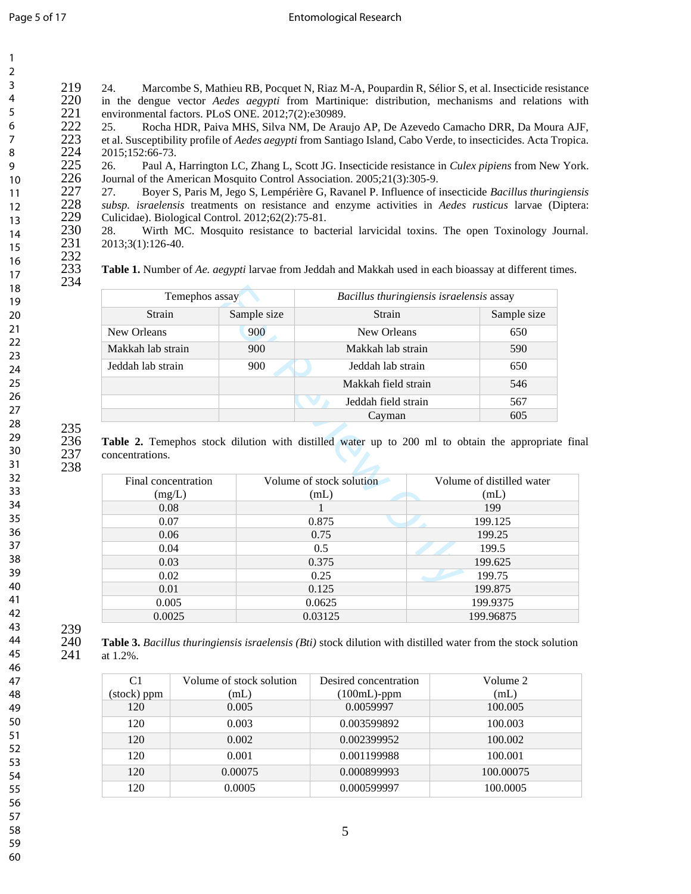24. Marcombe S, Mathieu RB, Pocquet N, Riaz M -A, Poupardin R, Sélior S, et al. Insecticide resistance in the dengue vector *Aedes aegypti* from Martinique: distribution, mechanisms and relations with environmental factors. PLoS ONE. 2012;7(2):e30989.

222<br>223 5 . Rocha HDR, Paiva MHS, Silva NM, De Araujo AP, De Azevedo Camacho DRR, Da Moura AJF, et al. Susceptibility profile of *Aedes aegypti* from Santiago Island, Cabo Verde, to insecticides. Acta Tropica. 2015;152:66 -73.

 26. Paul A, Harrington LC, Zhang L, Scott JG. Insecticide resistance in *Culex pipiens* from New York. Journal of the American Mosquito Control Association. 2005;21(3):305 -9.

 27. Boyer S, Paris M, Jego S, Lempérière G, Ravanel P. Influence of insecticide *Bacillus thuringiensis subsp. israelensis* treatments on resistance and enzyme activities in *Aedes rusticus* larvae (Diptera: Culicidae). Biological Control. 2012;62(2):75 -81. 230<br>231

 8 . Wirth MC. Mosquito resistance to bacterial larvicidal toxins. The open Toxinology Journal. 2013;3(1):126 -40.

**Table 1 .** Number of *Ae. aegypti* larvae from Jeddah and Makkah used in each bioassay at different times.

| Temephos assay                                                                                                          |             |                          | Bacillus thuringiensis israelensis assay |                           |
|-------------------------------------------------------------------------------------------------------------------------|-------------|--------------------------|------------------------------------------|---------------------------|
| Strain                                                                                                                  | Sample size | Strain                   | Sample size                              |                           |
| New Orleans                                                                                                             | 900         | New Orleans              |                                          | 650                       |
| Makkah lab strain                                                                                                       | 900         | Makkah lab strain        |                                          | 590                       |
| Jeddah lab strain                                                                                                       | 900         | Jeddah lab strain        |                                          | 650                       |
|                                                                                                                         |             | Makkah field strain      |                                          | 546                       |
|                                                                                                                         |             | Jeddah field strain      |                                          | 567                       |
|                                                                                                                         |             | Cayman                   |                                          | 605                       |
|                                                                                                                         |             |                          |                                          |                           |
|                                                                                                                         |             |                          |                                          |                           |
| Final concentration                                                                                                     |             | Volume of stock solution |                                          | Volume of distilled water |
| (mg/L)                                                                                                                  |             | (mL)                     |                                          | (mL)                      |
| 0.08<br>0.07                                                                                                            |             | 0.875                    |                                          | 199<br>199.125            |
| 0.06                                                                                                                    |             | 0.75                     |                                          | 199.25                    |
| Table 2. Temephos stock dilution with distilled water up to 200 ml to obtain the appropriate<br>concentrations.<br>0.04 |             | 0.5                      |                                          | 199.5                     |
| 0.03                                                                                                                    |             | 0.375                    |                                          | 199.625                   |
| 0.02                                                                                                                    |             | 0.25                     |                                          | 199.75                    |

 **Table 2 .** Temephos stock dilution with distilled water up to 200 ml to obtain the appropriate final concentrations.

| Final concentration | Volume of stock solution | Volume of distilled water |
|---------------------|--------------------------|---------------------------|
| (mg/L)              | (mL)                     | (mL)                      |
| 0.08                |                          | 199                       |
| 0.07                | 0.875                    | 199.125                   |
| 0.06                | 0.75                     | 199.25                    |
| 0.04                | 0.5                      | 199.5                     |
| 0.03                | 0.375                    | 199.625                   |
| 0.02                | 0.25                     | 199.75                    |
| 0.01                | 0.125                    | 199.875                   |
| 0.005               | 0.0625                   | 199.9375                  |
| 0.0025              | 0.03125                  | 199.96875                 |

 $\frac{232}{233}$ 

235<br>236

 **Table 3 .** *Bacillus thuringiensis israelensis (Bti)* stock dilution with distilled water from the stock solution at 1.2%.

| C <sub>1</sub> | Volume of stock solution | Desired concentration | Volume 2  |
|----------------|--------------------------|-----------------------|-----------|
| (stock) ppm    | (mL)                     | $(100mL)$ -ppm        | (mL)      |
| 120            | 0.005                    | 0.0059997             | 100.005   |
| 120            | 0.003                    | 0.003599892           | 100.003   |
| 120            | 0.002                    | 0.002399952           | 100.002   |
| 120            | 0.001                    | 0.001199988           | 100.001   |
| 120            | 0.00075                  | 0.000899993           | 100.00075 |
| 120            | 0.0005                   | 0.000599997           | 100.0005  |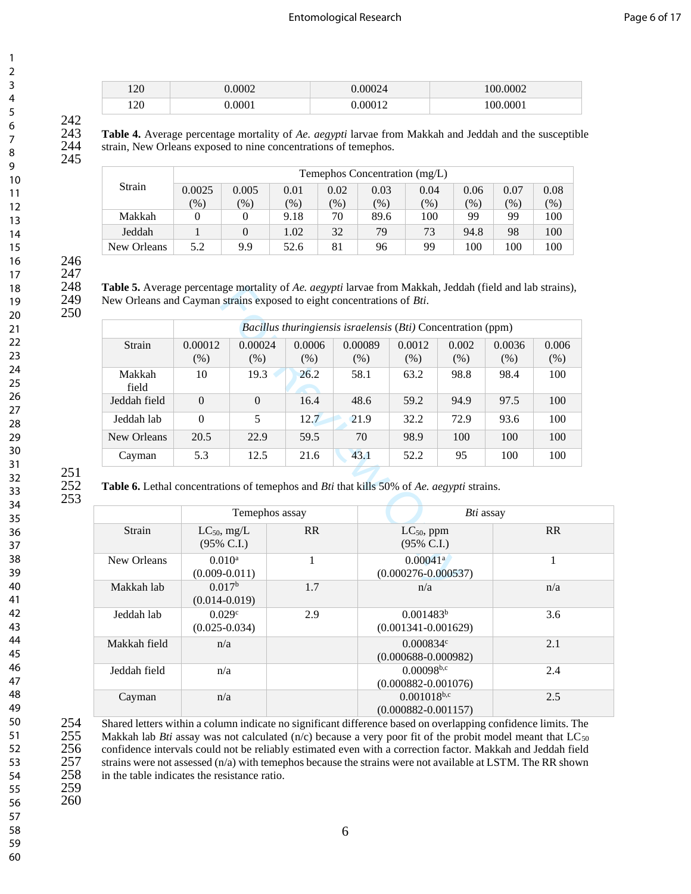| $\Omega$<br>14 U | 0002 | Y N E                | 0002 |
|------------------|------|----------------------|------|
| $\gamma$<br>14 U |      | $\sim$ $\sim$<br>ואו | 0001 |

243 **Table 4.** Average percentage mortality of *Ae. aegypti* larvae from Makkah and Jeddah and the susceptible strain, New Orleans exposed to nine concentrations of temephos.

|             | Temephos Concentration (mg/L) |               |      |      |      |      |           |               |               |
|-------------|-------------------------------|---------------|------|------|------|------|-----------|---------------|---------------|
| Strain      | 0.0025                        | 0.005         | 0.01 | 0.02 | 0.03 | 0.04 | 0.06      | 0.07          | 0.08          |
|             | (96)                          | $\frac{9}{0}$ | (%)  | (9)  | (9)  | (%)  | $(%^{6})$ | $\frac{9}{0}$ | $\frac{9}{6}$ |
| Makkah      |                               |               | 9.18 | 70   | 89.6 | 100  | 99        | 99            | 100           |
| Jeddah      |                               |               | 1.02 | 32   | 79   | 73   | 94.8      | 98            | 100           |
| New Orleans | 5.2                           | 9.9           | 52.6 | 81   | 96   | 99   | 100       | 100           | 100           |

248 **Table 5.** Average percentage mortality of *Ae. aegypti* larvae from Makkah, Jeddah (field and lab strains), New Orleans and Cayman strains exposed to eight concentrations of *Bti*.

| <b>Table 5.</b> Average percentage mortality of <i>Ae. aegypti</i> larvae from Makkah, Jeddah (field and lab strains),<br>New Orleans and Cayman strains exposed to eight concentrations of Bti. |                                                        |                 |                |                                                              |                                                   |               |                |                 |  |
|--------------------------------------------------------------------------------------------------------------------------------------------------------------------------------------------------|--------------------------------------------------------|-----------------|----------------|--------------------------------------------------------------|---------------------------------------------------|---------------|----------------|-----------------|--|
|                                                                                                                                                                                                  |                                                        |                 |                | Bacillus thuringiensis israelensis (Bti) Concentration (ppm) |                                                   |               |                |                 |  |
| Strain                                                                                                                                                                                           | 0.00012<br>(% )                                        | 0.00024<br>(% ) | 0.0006<br>(% ) | 0.00089<br>(% )                                              | 0.0012<br>(% )                                    | 0.002<br>(% ) | 0.0036<br>(% ) | 0.006<br>$(\%)$ |  |
| Makkah<br>field                                                                                                                                                                                  | 10                                                     | 19.3            | 26.2           | 58.1                                                         | 63.2                                              | 98.8          | 98.4           | 100             |  |
| Jeddah field                                                                                                                                                                                     | $\mathbf{0}$                                           | $\overline{0}$  | 16.4           | 48.6                                                         | 59.2                                              | 94.9          | 97.5           | 100             |  |
| Jeddah lab                                                                                                                                                                                       | $\Omega$                                               | 5               | 12.7           | 21.9                                                         | 32.2                                              | 72.9          | 93.6           | 100             |  |
| New Orleans                                                                                                                                                                                      | 20.5                                                   | 22.9            | 59.5           | 70                                                           | 98.9                                              | 100           | 100            | 100             |  |
| Cayman                                                                                                                                                                                           | 5.3                                                    | 12.5            | 21.6           | 43.1                                                         | 52.2                                              | 95            | 100            | 100             |  |
| <b>Table 6.</b> Lethal concentrations of temephos and <i>Bti</i> that kills 50% of <i>Ae. aegypti</i> strains.                                                                                   |                                                        |                 |                |                                                              |                                                   |               |                |                 |  |
|                                                                                                                                                                                                  |                                                        | Temephos assay  |                |                                                              |                                                   |               | Bti assay      |                 |  |
| Strain                                                                                                                                                                                           | <b>RR</b><br>$LC_{50}$ , mg/L<br>$(95\% \text{ C.I.})$ |                 |                | $LC_{50}$ , ppm<br>$(95\% \text{ C.I.})$                     |                                                   | <b>RR</b>     |                |                 |  |
| New Orleans                                                                                                                                                                                      | $0.010^a$<br>$(0.009 - 0.011)$                         |                 | 1              |                                                              | $0.00041$ <sup>a</sup><br>$(0.000276 - 0.000537)$ |               |                | 1               |  |
| Makkah lab                                                                                                                                                                                       | 0.017 <sup>b</sup>                                     |                 | 1.7            |                                                              | n/a<br>n/a                                        |               |                |                 |  |

251<br>252

242<br>243

245

246 247<br>248

250

| 253 |              |                                           |           |                                                   |           |  |  |  |
|-----|--------------|-------------------------------------------|-----------|---------------------------------------------------|-----------|--|--|--|
|     |              | Temephos assay                            |           | Bti assay                                         |           |  |  |  |
|     | Strain       | $LC_{50}$ , mg/L<br>$(95\% \text{ C.I.})$ | <b>RR</b> | $LC_{50}$ , ppm<br>$(95\% \text{ C.I.})$          | <b>RR</b> |  |  |  |
|     | New Orleans  | $0.010^a$<br>$(0.009 - 0.011)$            |           | $0.00041$ <sup>a</sup><br>$(0.000276 - 0.000537)$ | 1         |  |  |  |
|     | Makkah lab   | 0.017 <sup>b</sup><br>$(0.014 - 0.019)$   | 1.7       | n/a                                               | n/a       |  |  |  |
|     | Jeddah lab   | 0.029c<br>$(0.025 - 0.034)$               | 2.9       | 0.001483 <sup>b</sup><br>$(0.001341 - 0.001629)$  | 3.6       |  |  |  |
|     | Makkah field | n/a                                       |           | 0.000834c<br>$(0.000688 - 0.000982)$              | 2.1       |  |  |  |
|     | Jeddah field | n/a                                       |           | $0.00098^{b,c}$<br>$(0.000882 - 0.001076)$        | 2.4       |  |  |  |
|     | Cayman       | n/a                                       |           | $0.001018^{b,c}$<br>$(0.000882 - 0.001157)$       | 2.5       |  |  |  |

254 Shared letters within a column indicate no significant difference based on overlapping confidence limits. The Makkah lab *Bti* assay was not calculated  $(n/c)$  because a very poor fit of the probit model meant that LC<sub>5</sub> 255 Makkah lab *Bti* assay was not calculated (n/c) because a very poor fit of the probit model meant that LC<sub>50</sub> confidence intervals could not be reliably estimated even with a correction factor. Makkah and Jeddah field 256 confidence intervals could not be reliably estimated even with a correction factor. Makkah and Jeddah field<br>257 strains were not assessed (n/a) with temephos because the strains were not available at LSTM. The RR show 257 strains were not assessed  $(n/a)$  with temephos because the strains were not available at LSTM. The RR shown in the table indicates the resistance ratio. in the table indicates the resistance ratio.

55

259 260

56

57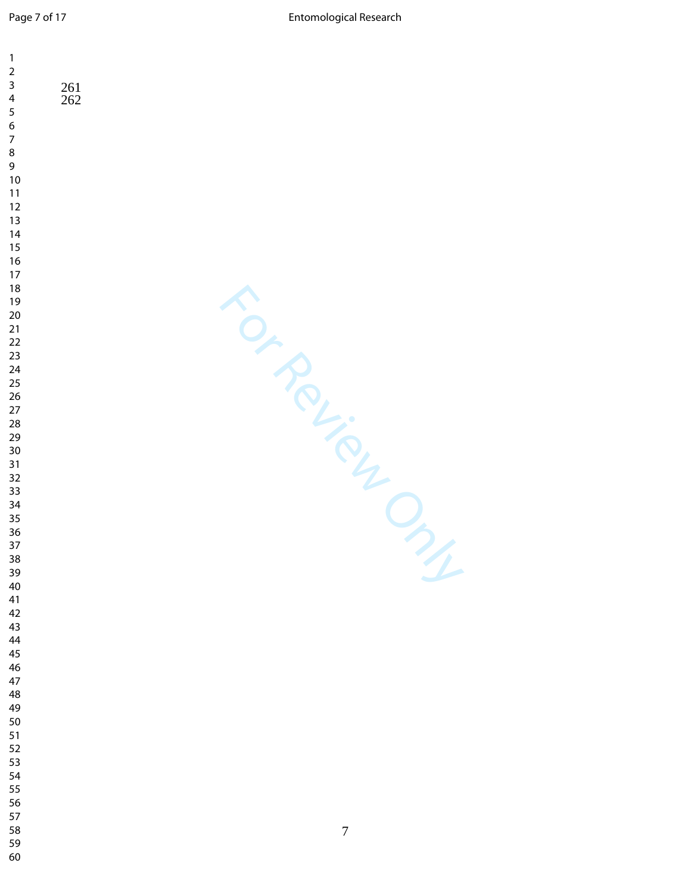| 1 2 3 4 5 6 7 8 9 10<br>$\begin{array}{c} 11 \end{array}$<br>$12$<br>$13\,$<br>$\frac{14}{15}$<br>$16$<br>$17\,$<br>$18\,$<br>$19$<br>$20\,$<br>$\frac{21}{22}$<br>23<br>24<br>25<br>26<br>$27\,$<br>${\bf 28}$<br>29<br>$30\,$<br>31<br>32<br>33<br>34<br>35<br>36<br>37<br>38<br>39<br>$40\,$<br>41<br>42<br>43<br>44<br>45<br>46<br>47<br>48<br>49<br>50<br>51<br>52<br>53<br>54<br>55<br>56<br>57 | $\begin{array}{c} 261 \\ 262 \end{array}$ |  | $L_{\hat{r}}$    | $\overline{\phantom{a}}$ |  |
|-------------------------------------------------------------------------------------------------------------------------------------------------------------------------------------------------------------------------------------------------------------------------------------------------------------------------------------------------------------------------------------------------------|-------------------------------------------|--|------------------|--------------------------|--|
| 58<br>59<br>60                                                                                                                                                                                                                                                                                                                                                                                        |                                           |  | $\boldsymbol{7}$ |                          |  |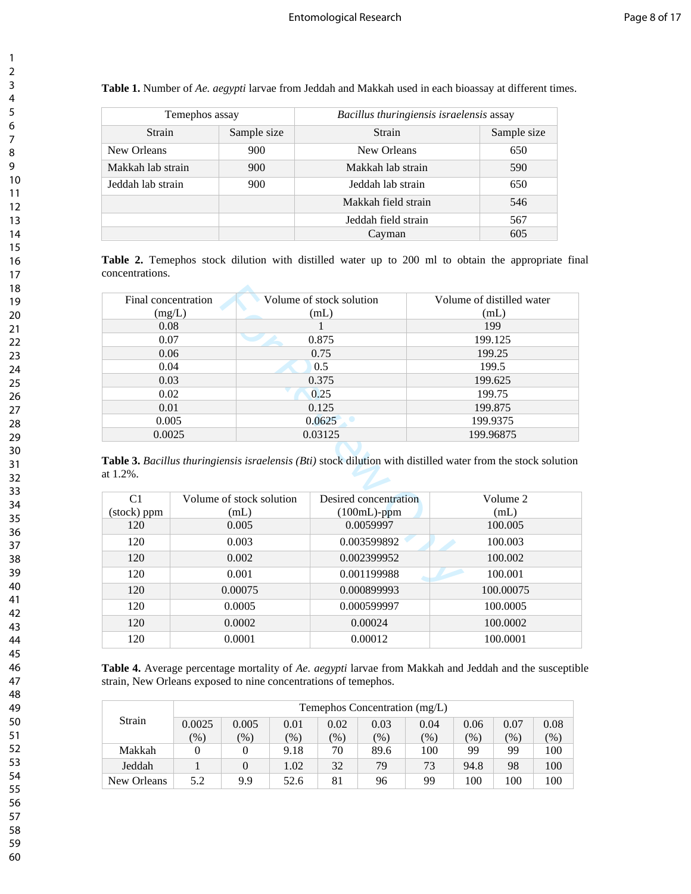| 1                                         |  |
|-------------------------------------------|--|
| 2                                         |  |
| ξ                                         |  |
| 4                                         |  |
|                                           |  |
| f                                         |  |
|                                           |  |
| 8                                         |  |
| 9                                         |  |
|                                           |  |
| 10                                        |  |
| 1<br>1                                    |  |
| 1<br>$\overline{c}$                       |  |
| $\overline{13}$                           |  |
| 1<br>4                                    |  |
| 5<br>1                                    |  |
| 16                                        |  |
| 1                                         |  |
| 18                                        |  |
| 19                                        |  |
| 20                                        |  |
| $2^{n}$<br>1                              |  |
| $\overline{2}$<br>$\overline{c}$          |  |
|                                           |  |
| $^{23}$                                   |  |
| $\overline{24}$                           |  |
| 25                                        |  |
| 26                                        |  |
| $^{27}$                                   |  |
| $\overline{28}$                           |  |
| 29                                        |  |
| 30                                        |  |
| $\mathbf{S}$<br>ı                         |  |
| $\overline{\mathbf{3}}$<br>$\overline{2}$ |  |
| $\overline{\frac{3}{5}}$                  |  |
| $\frac{34}{5}$                            |  |
| 35                                        |  |
| 36                                        |  |
|                                           |  |
| 37                                        |  |
| $\overline{\mathbf{3}}$                   |  |
| 39                                        |  |
| 40                                        |  |
| $\overline{4}$<br>1                       |  |
| 4<br>$\overline{c}$                       |  |
| $\overline{4}$<br>ξ                       |  |
| 44                                        |  |
| 4 <sup>1</sup>                            |  |
| 46                                        |  |
| $\overline{4}$                            |  |
| 48                                        |  |
| 49                                        |  |
|                                           |  |
| 50                                        |  |
| $5^{\circ}$<br>1                          |  |
| 5<br>2                                    |  |
| c<br>$\overline{\mathbf{3}}$              |  |
| c<br>$\frac{1}{2}$                        |  |
| c<br>$\mathbf{z}$                         |  |
| C<br>56                                   |  |
| c<br>5                                    |  |
| c<br>$\overline{\mathbf{58}}$             |  |
| 59                                        |  |
| 60                                        |  |
|                                           |  |

**Table 1.** Number of *Ae. aegypti* larvae from Jeddah and Makkah used in each bioassay at different times.

| Temephos assay    |             | Bacillus thuringiensis israelensis assay |             |  |
|-------------------|-------------|------------------------------------------|-------------|--|
| Strain            | Sample size | Strain                                   | Sample size |  |
| New Orleans       | 900         | New Orleans                              | 650         |  |
| Makkah lab strain | 900         | Makkah lab strain                        | 590         |  |
| Jeddah lab strain | 900         | Jeddah lab strain                        | 650         |  |
|                   |             | Makkah field strain                      | 546         |  |
|                   |             | Jeddah field strain                      | 567         |  |
|                   |             | Cayman                                   | 605         |  |

**Table 2.** Temephos stock dilution with distilled water up to 200 ml to obtain the appropriate final concentrations.

| Final concentration |       |                          | Volume of stock solution | Volume of distilled water                                                                                     |  |
|---------------------|-------|--------------------------|--------------------------|---------------------------------------------------------------------------------------------------------------|--|
| (mg/L)              |       |                          | (mL)                     | (mL)                                                                                                          |  |
| 0.08                |       | 1                        |                          | 199                                                                                                           |  |
| 0.07                |       |                          | 0.875                    | 199.125                                                                                                       |  |
| 0.06                |       |                          | 0.75                     | 199.25                                                                                                        |  |
| 0.04                |       |                          | 0.5                      | 199.5                                                                                                         |  |
| 0.03                |       |                          | 0.375                    | 199.625                                                                                                       |  |
| 0.02                |       |                          | 0.25                     | 199.75                                                                                                        |  |
| 0.01                |       |                          | 0.125                    | 199.875                                                                                                       |  |
| 0.005               |       |                          | 0.0625                   | 199.9375                                                                                                      |  |
| 0.0025              |       |                          | 0.03125                  | 199.96875                                                                                                     |  |
| at 1.2%.            |       |                          |                          | Table 3. Bacillus thuringiensis israelensis (Bti) stock dilution with distilled water from the stock solution |  |
| C <sub>1</sub>      |       | Volume of stock solution | Desired concentration    | Volume 2                                                                                                      |  |
| (stock) ppm         |       | (mL)                     | $(100mL)$ -ppm           | (mL)                                                                                                          |  |
| 120                 | 0.005 |                          | 0.0059997                | 100.005                                                                                                       |  |
| 120<br>0.003        |       | 0.003599892              | 100.003                  |                                                                                                               |  |
| 120<br>0.002        |       | 0.002399952              | 100.002                  |                                                                                                               |  |
| 120                 |       | 0.001                    | 0.001199988              | 100.001                                                                                                       |  |
| 120                 |       | 0.00075                  | 0.000899993              | 100.00075                                                                                                     |  |

**Table 3.** *Bacillus thuringiensis israelensis (Bti)* stock dilution with distilled water from the stock solution at 1.2%.

| C <sub>1</sub> | Volume of stock solution | Desired concentration | Volume 2  |
|----------------|--------------------------|-----------------------|-----------|
| (stock) ppm    | (mL)                     | $(100mL)$ -ppm        | (mL)      |
| 120            | 0.005                    | 0.0059997             | 100.005   |
| 120            | 0.003                    | 0.003599892           | 100.003   |
| 120            | 0.002                    | 0.002399952           | 100.002   |
| 120            | 0.001                    | 0.001199988           | 100.001   |
| 120            | 0.00075                  | 0.000899993           | 100.00075 |
| 120            | 0.0005                   | 0.000599997           | 100.0005  |
| 120            | 0.0002                   | 0.00024               | 100.0002  |
| 120            | 0.0001                   | 0.00012               | 100.0001  |

**Table 4.** Average percentage mortality of *Ae. aegypti* larvae from Makkah and Jeddah and the susceptible strain, New Orleans exposed to nine concentrations of temephos.

|             | Temephos Concentration (mg/L) |       |      |                 |      |        |               |      |                 |
|-------------|-------------------------------|-------|------|-----------------|------|--------|---------------|------|-----------------|
| Strain      | 0.0025                        | 0.005 | 0.01 | 0.02            | 0.03 | 0.04   | 0.06          | 0.07 | 0.08            |
|             | $\frac{9}{6}$                 | (9)   | (%)  | $\frac{9}{6}$ ) | (%)  | $(\%)$ | $\frac{1}{2}$ | (96) | $\frac{9}{6}$ ) |
| Makkah      |                               | 0     | 9.18 | 70              | 89.6 | 100    | 99            | 99   | 100             |
| Jeddah      |                               | 0     | 1.02 | 32              | 79   | 73     | 94.8          | 98   | 100             |
| New Orleans | 5.2                           | 9.9   | 52.6 | 81              | 96   | 99     | 100           | 100  | 100             |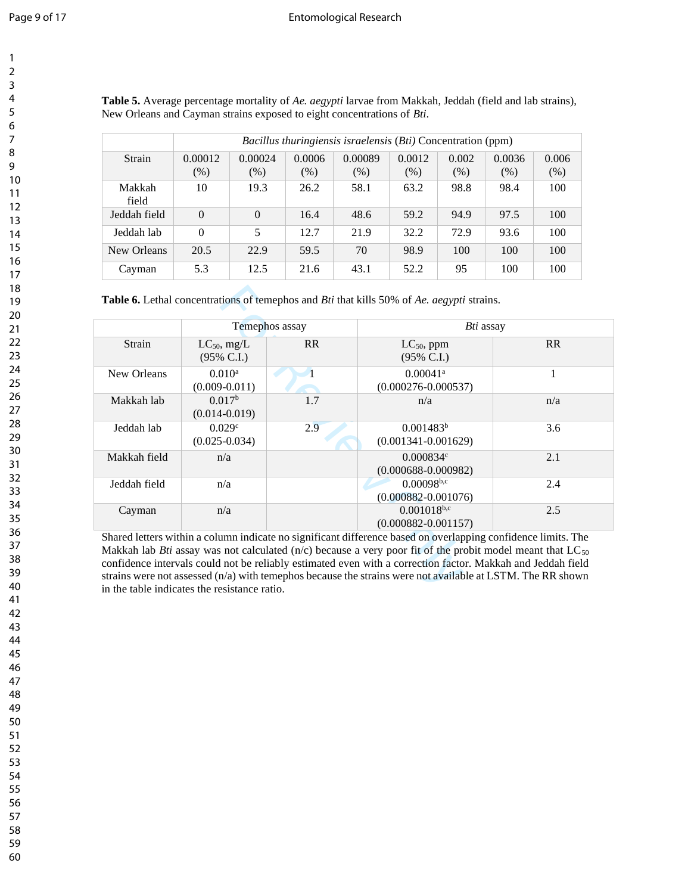| Table 5. Average percentage mortality of Ae. aegypti larvae from Makkah, Jeddah (field and lab strains), |  |
|----------------------------------------------------------------------------------------------------------|--|
| New Orleans and Cayman strains exposed to eight concentrations of <i>Bti</i> .                           |  |

|                 | Bacillus thuringiensis israelensis (Bti) Concentration (ppm) |                   |                |                 |                |               |                   |               |
|-----------------|--------------------------------------------------------------|-------------------|----------------|-----------------|----------------|---------------|-------------------|---------------|
| Strain          | 0.00012<br>$(\%)$                                            | 0.00024<br>$(\%)$ | 0.0006<br>(% ) | 0.00089<br>(% ) | 0.0012<br>(% ) | 0.002<br>(% ) | 0.0036<br>$(\% )$ | 0.006<br>(% ) |
| Makkah<br>field | 10                                                           | 19.3              | 26.2           | 58.1            | 63.2           | 98.8          | 98.4              | 100           |
| Jeddah field    | $\Omega$                                                     | $\Omega$          | 16.4           | 48.6            | 59.2           | 94.9          | 97.5              | 100           |
| Jeddah lab      | $\theta$                                                     | 5                 | 12.7           | 21.9            | 32.2           | 72.9          | 93.6              | 100           |
| New Orleans     | 20.5                                                         | 22.9              | 59.5           | 70              | 98.9           | 100           | 100               | 100           |
| Cayman          | 5.3                                                          | 12.5              | 21.6           | 43.1            | 52.2           | 95            | 100               | 100           |

|              | Temephos assay                            |           | <i>Bti</i> assay                                                                                                                                                                                                                  |           |
|--------------|-------------------------------------------|-----------|-----------------------------------------------------------------------------------------------------------------------------------------------------------------------------------------------------------------------------------|-----------|
| Strain       | $LC_{50}$ , mg/L<br>$(95\% \text{ C.I.})$ | <b>RR</b> | $LC_{50}$ , ppm<br>$(95\% \text{ C.I.})$                                                                                                                                                                                          | <b>RR</b> |
| New Orleans  | $0.010^a$<br>$(0.009 - 0.011)$            |           | $0.00041$ <sup>a</sup><br>$(0.000276 - 0.000537)$                                                                                                                                                                                 | 1         |
| Makkah lab   | 0.017 <sup>b</sup><br>$(0.014 - 0.019)$   | 1.7       | n/a                                                                                                                                                                                                                               | n/a       |
| Jeddah lab   | 0.029c<br>$(0.025 - 0.034)$               | 2.9       | 0.001483 <sup>b</sup><br>$(0.001341 - 0.001629)$                                                                                                                                                                                  | 3.6       |
| Makkah field | n/a                                       |           | 0.000834c<br>$(0.000688 - 0.000982)$                                                                                                                                                                                              | 2.1       |
| Jeddah field | n/a                                       |           | $0.00098^{b,c}$<br>$(0.000882 - 0.001076)$                                                                                                                                                                                        | 2.4       |
| Cayman       | n/a                                       |           | $0.001018^{b,c}$<br>$(0.000882 - 0.001157)$                                                                                                                                                                                       | 2.5       |
|              |                                           |           | Shared letters within a column indicate no significant difference based on overlapping confidence limits. The                                                                                                                     |           |
|              |                                           |           | Makkah lab Bti assay was not calculated ( $n/c$ ) because a very poor fit of the probit model meant that $LC_{50}$<br>confidence intervals could not be reliably estimated even with a correction factor. Makkah and Jeddah field |           |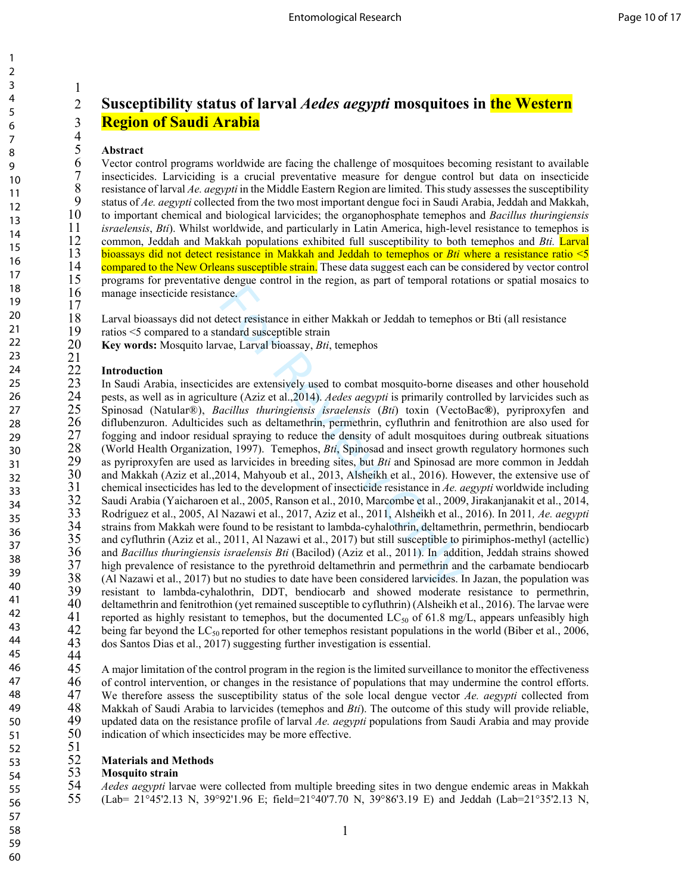## **Susceptibility status of larval** *Aedes aegypti* **mosquitoes in the Western Region of Saudi Arabia** 4<br>5

 **Abstract** 6 Vector control programs worldwide are facing the challenge of mosquitoes becoming resistant to available insecticides. Larviciding is a crucial preventative measure for dengue control but data on insecticide 7 insecticides. Larviciding is a crucial preventative measure for dengue control but data on insecticide resistance of larval *Ae. aegypti* in the Middle Eastern Region are limited. This study assesses the susceptibility 8 resistance of larval *Ae. aegypti* in the Middle Eastern Region are limited. This study assesses the susceptibility<br>9 status of *Ae. aegypti* collected from the two most important dengue foci in Saudi Arabia. Jeddah and 9 status of *Ae. aegypti* collected from the two most important dengue foci in Saudi Arabia, Jeddah and Makkah,<br>10 to important chemical and biological larvicides; the organophosphate temephos and *Bacillus thuringiensis*  to important chemical and biological larvicides; the organophosphate temephos and *Bacillus thuringiensis*  11 *israelensis*, *Bti*). Whilst worldwide, and particularly in Latin America, high-level resistance to temephos is<br>12 common, Jeddah and Makkah populations exhibited full susceptibility to both temephos and *Bti*. **Laryal** 12 common, Jeddah and Makkah populations exhibited full susceptibility to both temephos and *Bti*. **Larval** 13 bioassays did not detect resistance in Makkah and Jeddah to temephos or *Bti* where a resistance ratio <5 13 bioassays did not detect resistance in Makkah and Jeddah to temephos or *Bti* where a resistance ratio <5<br>14 compared to the New Orleans susceptible strain. These data suggest each can be considered by vector control 14 compared to the New Orleans susceptible strain. These data suggest each can be considered by vector control<br>15 programs for preventative dengue control in the region, as part of temporal rotations or spatial mosaics to 15 programs for preventative dengue control in the region, as part of temporal rotations or spatial mosaics to manage insecticide resistance. manage insecticide resistance.

 $\frac{17}{18}$ 18 Larval bioassays did not detect resistance in either Makkah or Jeddah to temephos or Bti (all resistance 19 ratios  $\leq$  5 compared to a standard susceptible strain

- 19 ratios  $\leq$ 5 compared to a standard susceptible strain 20 **Key words:** Mosquito larvae, Larval bioassay, *Bti*,
- **Key words:** Mosquito larvae, Larval bioassay, *Bti*, temephos  $\frac{21}{22}$

nce.<br>
etect resistance in either Makkah or Jeddah to temephe<br>
etect resistance in either Makkah or Jeddah to temephe<br>
andard susceptible strain<br>
wae, Larval bioassay, *Bti*, temephos<br>
des are extensively used to combat mo **Introduction** 23 In Saudi Arabia, insecticides are extensively used to combat mosquito-borne diseases and other household<br>24 pests, as well as in agriculture (Aziz et al., 2014). *Aedes aegypti* is primarily controlled by larvicides suc 24 pests, as well as in agriculture (Aziz et al., 2014). *Aedes aegypti* is primarily controlled by larvicides such as <br>25 Spinosad (Natular®), *Bacillus thuringiensis israelensis (Bti)* toxin (VectoBac®), pyriproxyfen and Spinosad (Natular®), *Bacillus thuringiensis israelensis* (*Bti*) toxin (VectoBac**®**), pyriproxyfen and 26 diflubenzuron. Adulticides such as deltamethrin, permethrin, cyfluthrin and fenitrothion are also used for<br>27 fogging and indoor residual spraying to reduce the density of adult mosquitoes during outbreak situations 27 fogging and indoor residual spraying to reduce the density of adult mosquitoes during outbreak situations<br>28 (World Health Organization, 1997). Temephos, *Bti*, Spinosad and insect growth regulatory hormones such 28 (World Health Organization, 1997). Temephos, *Bti*, Spinosad and insect growth regulatory hormones such 29 as pyriproxyfen are used as laryicides in breeding sites, but *Bti* and Spinosad are more common in Jeddah 29 as pyriproxyfen are used as larvicides in breeding sites, but *Bti* and Spinosad are more common in Jeddah<br>30 and Makkah (Aziz et al., 2014, Mahyoub et al., 2013, Alsheikh et al., 2016). However, the extensive use of 30 and Makkah (Aziz et al., 2014, Mahyoub et al., 2013, Alsheikh et al., 2016). However, the extensive use of chemical insecticides has led to the development of insecticide resistance in Ae. aegypti worldwide including 31 chemical insecticides has led to the development of insecticide resistance in *Ae. aegypti* worldwide including<br>32 Saudi Arabia (Yaicharoen et al., 2005, Ranson et al., 2010, Marcombe et al., 2009, Jirakanjanakit et al. Saudi Arabia (Yaicharoen et al., 2005, Ranson et al., 2010, Marcombe et al., 2009, Jirakanjanakit et al., 2014, Rodríguez et al., 2005, Al Nazawi et al., 2017, Aziz et al., 2011, Alsheikh et al., 2016). In 2011*, Ae. aegypti*  34 strains from Makkah were found to be resistant to lambda-cyhalothrin, deltamethrin, permethrin, bendiocarb<br>35 and cyfluthrin (Aziz et al., 2011, Al Nazawi et al., 2017) but still susceptible to pirimiphos-methyl (actell 35 and cyfluthrin (Aziz et al., 2011, Al Nazawi et al., 2017) but still susceptible to pirimiphos-methyl (actellic)<br>36 and *Bacillus thuringiensis israelensis Bti* (Bacilod) (Aziz et al., 2011). In addition, Jeddah strains 36 and *Bacillus thuringiensis israelensis Bti* (Bacilod) (Aziz et al., 2011). In addition, Jeddah strains showed high prevalence of resistance to the pyrethroid deltamethrin and permethrin and the carbamate bendiocarb 37 high prevalence of resistance to the pyrethroid deltamethrin and permethrin and the carbamate bendiocarb<br>38 (Al Nazawi et al., 2017) but no studies to date have been considered larvicides. In Jazan, the population was 38 (Al Nazawi et al., 2017) but no studies to date have been considered larvicides. In Jazan, the population was<br>39 resistant to lambda-cyhalothrin. DDT, bendiocarb and showed moderate resistance to permethrin. 39 resistant to lambda-cyhalothrin, DDT, bendiocarb and showed moderate resistance to permethrin, 40 deltamethrin and fenitrothion (vet remained susceptible to cyfluthrin) (Alsheikh et al., 2016). The larvae were 40 deltamethrin and fenitrothion (yet remained susceptible to cyfluthrin) (Alsheikh et al., 2016). The larvae were<br>41 reported as highly resistant to temephos, but the documented LC<sub>50</sub> of 61.8 mg/L, appears unfeasibly hi 41 reported as highly resistant to temephos, but the documented  $LC_{50}$  of 61.8 mg/L, appears unfeasibly high 42 being far beyond the LC<sub>50</sub> reported for other temephos resistant populations in the world (Biber et al., 20 being far beyond the LC<sub>50</sub> reported for other temephos resistant populations in the world (Biber et al., 2006, dos Santos Dias et al., 2017) suggesting further investigation is essential. 43<br>44<br>45

45 A major limitation of the control program in the region is the limited surveillance to monitor the effectiveness of control intervention, or changes in the resistance of populations that may undermine the control effort 46 of control intervention, or changes in the resistance of populations that may undermine the control efforts.<br>47 We therefore assess the susceptibility status of the sole local dengue vector *Ae. aegypti* collected from 47 We therefore assess the susceptibility status of the sole local dengue vector *Ae. aegypti* collected from 48 Makkah of Saudi Arabia to larvicides (temephos and *Bti*). The outcome of this study will provide reliable. 48 Makkah of Saudi Arabia to larvicides (temephos and *Bti*). The outcome of this study will provide reliable,<br>49 updated data on the resistance profile of larval *Ae, aegypti* populations from Saudi Arabia and may provide 49 updated data on the resistance profile of larval *Ae. aegypti* populations from Saudi Arabia and may provide<br>50 indication of which insecticides may be more effective. indication of which insecticides may be more effective.

## $\frac{51}{52}$ **Materials and Methods**

 **Mosquito strain**  *Aedes aegypti* larvae were collected from multiple breeding sites in two dengue endemic areas in Makkah 55 (Lab= 21°45'2.13 N, 39°92'1.96 E; field= 21°40'7.70 N, 39°86'3.19 E) and Jeddah (Lab= 21°35'2.13 N, (Lab= 21°45'2.13 N, 39°92'1.96 E; field=21°40'7.70 N, 39°86'3.19 E) and Jeddah (Lab=21°35'2.13 N,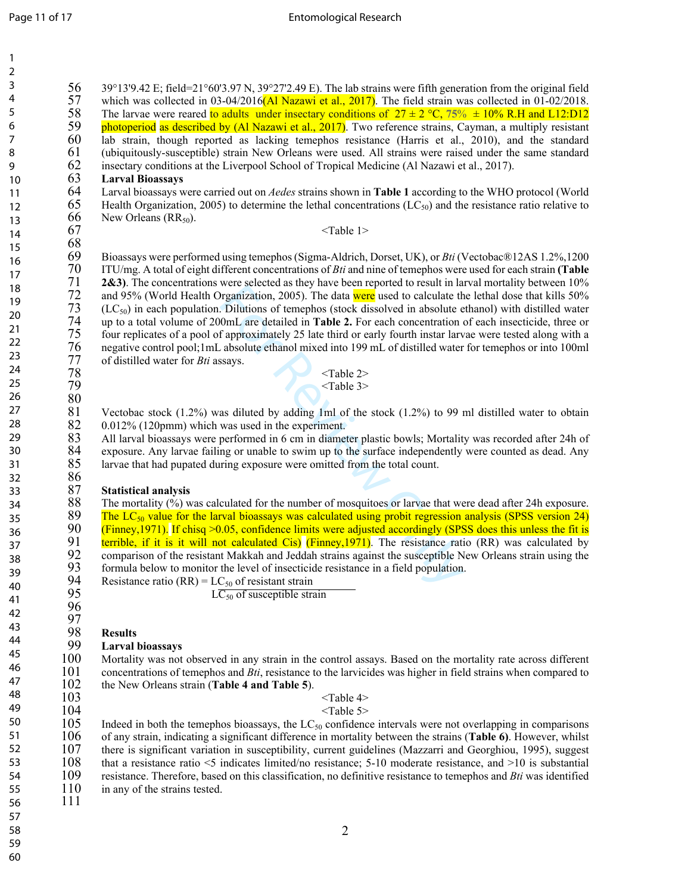| $\mathbf{1}$ |          |                                                                                                                                                                                                                |
|--------------|----------|----------------------------------------------------------------------------------------------------------------------------------------------------------------------------------------------------------------|
| $\mathbf 2$  |          |                                                                                                                                                                                                                |
| 3            | 56       | 39°13′9.42 E; field=21°60′3.97 N, 39°27′2.49 E). The lab strains were fifth generation from the original field                                                                                                 |
| 4<br>5       | 57       | which was collected in 03-04/2016(Al Nazawi et al., 2017). The field strain was collected in 01-02/2018.                                                                                                       |
| 6            | 58<br>59 | The larvae were reared to adults under insectary conditions of $27 \pm 2$ °C, $75\% \pm 10\%$ R.H and L12:D12                                                                                                  |
| 7            | 60       | photoperiod as described by (Al Nazawi et al., 2017). Two reference strains, Cayman, a multiply resistant                                                                                                      |
| 8            | 61       | lab strain, though reported as lacking temephos resistance (Harris et al., 2010), and the standard<br>(ubiquitously-susceptible) strain New Orleans were used. All strains were raised under the same standard |
| 9            | 62       | insectary conditions at the Liverpool School of Tropical Medicine (Al Nazawi et al., 2017).                                                                                                                    |
| 10           | 63       | <b>Larval Bioassays</b>                                                                                                                                                                                        |
| 11           | 64       | Larval bioassays were carried out on <i>Aedes</i> strains shown in Table 1 according to the WHO protocol (World                                                                                                |
| 12           | 65       | Health Organization, 2005) to determine the lethal concentrations ( $LC_{50}$ ) and the resistance ratio relative to                                                                                           |
| 13           | 66       | New Orleans $(RR_{50})$ .                                                                                                                                                                                      |
| 14           | 67       | <table 1=""></table>                                                                                                                                                                                           |
| 15           | 68       |                                                                                                                                                                                                                |
|              | 69       | Bioassays were performed using temephos (Sigma-Aldrich, Dorset, UK), or Bti (Vectobac®12AS 1.2%,1200                                                                                                           |
| 16           | 70       | ITU/mg. A total of eight different concentrations of $Bti$ and nine of temephos were used for each strain (Table                                                                                               |
| 17           | 71       | 2&3). The concentrations were selected as they have been reported to result in larval mortality between 10%                                                                                                    |
| 18           | 72       | and 95% (World Health Organization, 2005). The data were used to calculate the lethal dose that kills 50%                                                                                                      |
| 19           | 73       | $(LC50)$ in each population. Dilutions of temephos (stock dissolved in absolute ethanol) with distilled water                                                                                                  |
| 20           | 74       | up to a total volume of 200mL are detailed in Table 2. For each concentration of each insecticide, three or                                                                                                    |
| 21           | 75       | four replicates of a pool of approximately 25 late third or early fourth instar larvae were tested along with a                                                                                                |
| 22           | 76       | negative control pool; 1mL absolute ethanol mixed into 199 mL of distilled water for temephos or into 100ml                                                                                                    |
| 23           | 77       | of distilled water for <i>Bti</i> assays.                                                                                                                                                                      |
| 24           | 78       | <table 2=""></table>                                                                                                                                                                                           |
| 25           | 79       | $<$ Table 3>                                                                                                                                                                                                   |
| 26           | 80       |                                                                                                                                                                                                                |
| 27           | 81       | Vectobac stock $(1.2\%)$ was diluted by adding 1ml of the stock $(1.2\%)$ to 99 ml distilled water to obtain                                                                                                   |
| 28           | 82       | 0.012% (120pmm) which was used in the experiment.                                                                                                                                                              |
| 29           | 83       | All larval bioassays were performed in 6 cm in diameter plastic bowls; Mortality was recorded after 24h of                                                                                                     |
| 30           | 84       | exposure. Any larvae failing or unable to swim up to the surface independently were counted as dead. Any                                                                                                       |
| 31           | 85       | larvae that had pupated during exposure were omitted from the total count.                                                                                                                                     |
| 32           | 86       |                                                                                                                                                                                                                |
| 33           | 87       | <b>Statistical analysis</b>                                                                                                                                                                                    |
| 34           | 88       | The mortality (%) was calculated for the number of mosquitoes or larvae that were dead after 24h exposure.                                                                                                     |
| 35           | 89       | The LC <sub>50</sub> value for the larval bioassays was calculated using probit regression analysis (SPSS version 24)                                                                                          |
| 36           | 90       | $(Finney, 1971)$ . If chisq >0.05, confidence limits were adjusted accordingly (SPSS does this unless the fit is                                                                                               |
| 37           | 91       | terrible, if it is it will not calculated Cis) (Finney, $1971$ ). The resistance ratio (RR) was calculated by                                                                                                  |
| 38           | 92       | comparison of the resistant Makkah and Jeddah strains against the susceptible New Orleans strain using the                                                                                                     |
| 39           | 93       | formula below to monitor the level of insecticide resistance in a field population.                                                                                                                            |
| 40           | 94       | Resistance ratio (RR) = $LC_{50}$ of resistant strain                                                                                                                                                          |
| 41           | 95       | $LC_{50}$ of susceptible strain                                                                                                                                                                                |
| 42           | 96       |                                                                                                                                                                                                                |
| 43           | 97       |                                                                                                                                                                                                                |
| 44           | 98       | <b>Results</b>                                                                                                                                                                                                 |
| 45           | 99       | <b>Larval bioassays</b>                                                                                                                                                                                        |
| 46           | 100      | Mortality was not observed in any strain in the control assays. Based on the mortality rate across different                                                                                                   |
| 47           | 101      | concentrations of temephos and Bti, resistance to the larvicides was higher in field strains when compared to                                                                                                  |
| 48           | 102      | the New Orleans strain (Table 4 and Table 5).                                                                                                                                                                  |
| 49           | 103      | $<$ Table 4>                                                                                                                                                                                                   |
|              | 104      | $<$ Table 5>                                                                                                                                                                                                   |
| 50<br>51     | 105      | Indeed in both the temephos bioassays, the $LC_{50}$ confidence intervals were not overlapping in comparisons                                                                                                  |
|              | 106      | of any strain, indicating a significant difference in mortality between the strains (Table 6). However, whilst                                                                                                 |
| 52           | 107      | there is significant variation in susceptibility, current guidelines (Mazzarri and Georghiou, 1995), suggest                                                                                                   |
| 53           | 108      | that a resistance ratio $\leq$ indicates limited/no resistance; 5-10 moderate resistance, and $>$ 10 is substantial                                                                                            |
| 54           | 109      | resistance. Therefore, based on this classification, no definitive resistance to temephos and Bti was identified                                                                                               |
| 55           | 110      | in any of the strains tested.                                                                                                                                                                                  |
| 56           | 111      |                                                                                                                                                                                                                |
| 57           |          |                                                                                                                                                                                                                |
| 58           |          | $\overline{2}$                                                                                                                                                                                                 |
| 59           |          |                                                                                                                                                                                                                |
| 60           |          |                                                                                                                                                                                                                |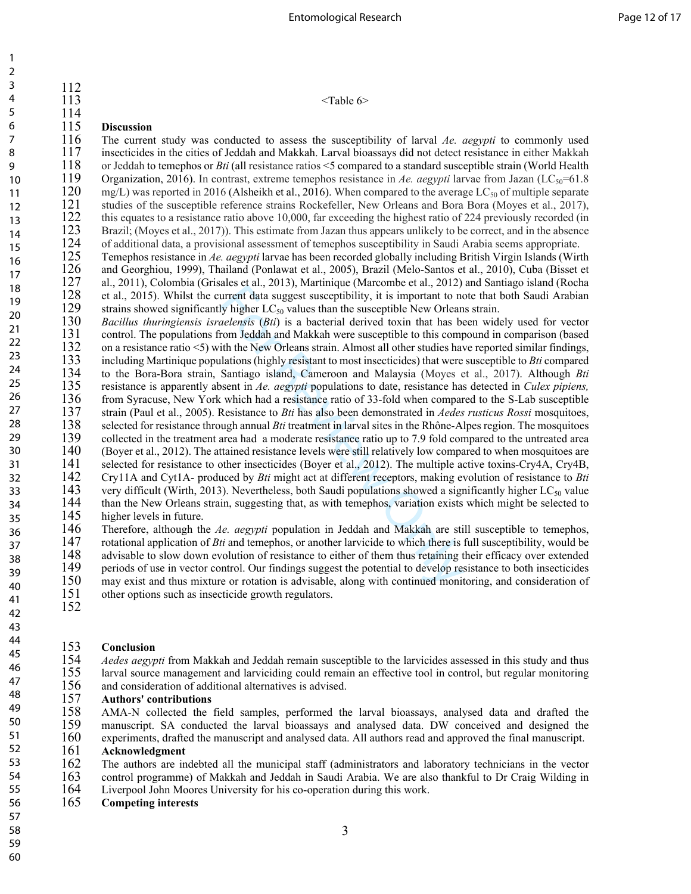| 3  | 112        |                                                                                                                                                                                                                                 |
|----|------------|---------------------------------------------------------------------------------------------------------------------------------------------------------------------------------------------------------------------------------|
| 4  | 113        | $<$ Table 6>                                                                                                                                                                                                                    |
| 5  | 114        |                                                                                                                                                                                                                                 |
| 6  | 115        | <b>Discussion</b>                                                                                                                                                                                                               |
| 7  | 116        | The current study was conducted to assess the susceptibility of larval Ae. aegypti to commonly used                                                                                                                             |
| 8  | 117        | insecticides in the cities of Jeddah and Makkah. Larval bioassays did not detect resistance in either Makkah                                                                                                                    |
| 9  | 118        | or Jeddah to temephos or Bti (all resistance ratios <5 compared to a standard susceptible strain (World Health                                                                                                                  |
| 10 | 119        | Organization, 2016). In contrast, extreme temephos resistance in Ae. aegypti larvae from Jazan (LC <sub>50</sub> =61.8)                                                                                                         |
| 11 | 120        | mg/L) was reported in 2016 (Alsheikh et al., 2016). When compared to the average LC <sub>50</sub> of multiple separate                                                                                                          |
| 12 | 121        | studies of the susceptible reference strains Rockefeller, New Orleans and Bora Bora (Moyes et al., 2017),                                                                                                                       |
| 13 | 122        | this equates to a resistance ratio above 10,000, far exceeding the highest ratio of 224 previously recorded (in                                                                                                                 |
| 14 | 123        | Brazil; (Moyes et al., 2017)). This estimate from Jazan thus appears unlikely to be correct, and in the absence                                                                                                                 |
| 15 | 124        | of additional data, a provisional assessment of temephos susceptibility in Saudi Arabia seems appropriate.                                                                                                                      |
| 16 | 125        | Temephos resistance in Ae. aegypti larvae has been recorded globally including British Virgin Islands (Wirth                                                                                                                    |
| 17 | 126        | and Georghiou, 1999), Thailand (Ponlawat et al., 2005), Brazil (Melo-Santos et al., 2010), Cuba (Bisset et                                                                                                                      |
| 18 | 127        | al., 2011), Colombia (Grisales et al., 2013), Martinique (Marcombe et al., 2012) and Santiago island (Rocha                                                                                                                     |
| 19 | 128        | et al., 2015). Whilst the current data suggest susceptibility, it is important to note that both Saudi Arabian                                                                                                                  |
| 20 | 129        | strains showed significantly higher $LC_{50}$ values than the susceptible New Orleans strain.                                                                                                                                   |
|    | 130        | Bacillus thuringiensis israelensis (Bti) is a bacterial derived toxin that has been widely used for vector                                                                                                                      |
| 21 | 131        | control. The populations from Jeddah and Makkah were susceptible to this compound in comparison (based                                                                                                                          |
| 22 | 132        | on a resistance ratio <5) with the New Orleans strain. Almost all other studies have reported similar findings,                                                                                                                 |
| 23 | 133        | including Martinique populations (highly resistant to most insecticides) that were susceptible to <i>Bti</i> compared                                                                                                           |
| 24 | 134        | to the Bora-Bora strain, Santiago island, Cameroon and Malaysia (Moyes et al., 2017). Although Bti                                                                                                                              |
| 25 | 135        | resistance is apparently absent in Ae. aegypti populations to date, resistance has detected in Culex pipiens,                                                                                                                   |
| 26 | 136        | from Syracuse, New York which had a resistance ratio of 33-fold when compared to the S-Lab susceptible                                                                                                                          |
| 27 | 137        | strain (Paul et al., 2005). Resistance to <i>Bti</i> has also been demonstrated in <i>Aedes rusticus Rossi</i> mosquitoes,                                                                                                      |
| 28 | 138        | selected for resistance through annual <i>Bti</i> treatment in larval sites in the Rhône-Alpes region. The mosquitoes                                                                                                           |
| 29 | 139        | collected in the treatment area had a moderate resistance ratio up to 7.9 fold compared to the untreated area                                                                                                                   |
| 30 | 140        | (Boyer et al., 2012). The attained resistance levels were still relatively low compared to when mosquitoes are                                                                                                                  |
| 31 | 141        | selected for resistance to other insecticides (Boyer et al., 2012). The multiple active toxins-Cry4A, Cry4B,                                                                                                                    |
| 32 | 142<br>143 | Cry11A and Cyt1A- produced by Bti might act at different receptors, making evolution of resistance to Bti                                                                                                                       |
| 33 | 144        | very difficult (Wirth, 2013). Nevertheless, both Saudi populations showed a significantly higher $LC_{50}$ value<br>than the New Orleans strain, suggesting that, as with temephos, variation exists which might be selected to |
| 34 | 145        | higher levels in future.                                                                                                                                                                                                        |
| 35 | 146        | Therefore, although the Ae. aegypti population in Jeddah and Makkah are still susceptible to temephos,                                                                                                                          |
| 36 | 147        | rotational application of Bti and temephos, or another larvicide to which there is full susceptibility, would be                                                                                                                |
| 37 | 148        | advisable to slow down evolution of resistance to either of them thus retaining their efficacy over extended                                                                                                                    |
| 38 | 149        | periods of use in vector control. Our findings suggest the potential to develop resistance to both insecticides                                                                                                                 |
| 39 | 150        | may exist and thus mixture or rotation is advisable, along with continued monitoring, and consideration of                                                                                                                      |
| 40 | 151        | other options such as insecticide growth regulators.                                                                                                                                                                            |
| 41 | 152        |                                                                                                                                                                                                                                 |
| 42 |            |                                                                                                                                                                                                                                 |
| 43 |            |                                                                                                                                                                                                                                 |
| 44 | 153        | Conclusion                                                                                                                                                                                                                      |
| 45 | 154        | Aedes aegypti from Makkah and Jeddah remain susceptible to the larvicides assessed in this study and thus                                                                                                                       |
| 46 | 155        | larval source management and larviciding could remain an effective tool in control, but regular monitoring                                                                                                                      |
| 47 | 156        | and consideration of additional alternatives is advised.                                                                                                                                                                        |
| 48 | 157        | <b>Authors' contributions</b>                                                                                                                                                                                                   |
| 49 | 158        | AMA-N collected the field samples, performed the larval bioassays, analysed data and drafted the                                                                                                                                |
| 50 | 159        | manuscript. SA conducted the larval bioassays and analysed data. DW conceived and designed the                                                                                                                                  |
| 51 | 160        | experiments, drafted the manuscript and analysed data. All authors read and approved the final manuscript.                                                                                                                      |
| 52 | 161        | Acknowledgment                                                                                                                                                                                                                  |
| 53 | 162        | The authors are indebted all the municipal staff (administrators and laboratory technicians in the vector                                                                                                                       |
| 54 | 163        | control programme) of Makkah and Jeddah in Saudi Arabia. We are also thankful to Dr Craig Wilding in                                                                                                                            |
| 55 | 164        | Liverpool John Moores University for his co-operation during this work.                                                                                                                                                         |
| 56 | 165        | <b>Competing interests</b>                                                                                                                                                                                                      |
| 57 |            |                                                                                                                                                                                                                                 |
| 58 |            | 3                                                                                                                                                                                                                               |
| 59 |            |                                                                                                                                                                                                                                 |
| 60 |            |                                                                                                                                                                                                                                 |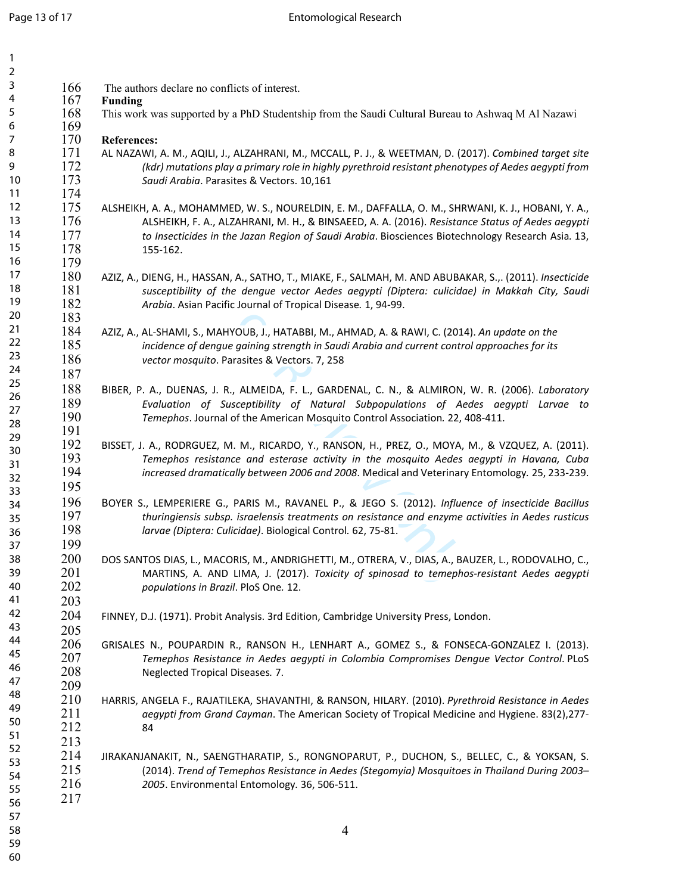$\mathbf{1}$ 

| $\mathbf{1}$   |     |                                                                                                          |
|----------------|-----|----------------------------------------------------------------------------------------------------------|
| $\overline{2}$ |     |                                                                                                          |
| 3              | 166 | The authors declare no conflicts of interest.                                                            |
| 4              | 167 | <b>Funding</b>                                                                                           |
| 5              | 168 | This work was supported by a PhD Studentship from the Saudi Cultural Bureau to Ashwaq M Al Nazawi        |
| 6              | 169 |                                                                                                          |
| 7              | 170 | <b>References:</b>                                                                                       |
| 8              | 171 | AL NAZAWI, A. M., AQILI, J., ALZAHRANI, M., MCCALL, P. J., & WEETMAN, D. (2017). Combined target site    |
| 9              | 172 | (kdr) mutations play a primary role in highly pyrethroid resistant phenotypes of Aedes aegypti from      |
| 10             | 173 | Saudi Arabia. Parasites & Vectors. 10,161                                                                |
| 11             | 174 |                                                                                                          |
| 12             | 175 | ALSHEIKH, A. A., MOHAMMED, W. S., NOURELDIN, E. M., DAFFALLA, O. M., SHRWANI, K. J., HOBANI, Y. A.,      |
| 13             | 176 | ALSHEIKH, F. A., ALZAHRANI, M. H., & BINSAEED, A. A. (2016). Resistance Status of Aedes aegypti          |
| 14             | 177 | to Insecticides in the Jazan Region of Saudi Arabia. Biosciences Biotechnology Research Asia. 13,        |
| 15             | 178 | 155-162.                                                                                                 |
| 16             | 179 |                                                                                                          |
| 17             | 180 | AZIZ, A., DIENG, H., HASSAN, A., SATHO, T., MIAKE, F., SALMAH, M. AND ABUBAKAR, S.,. (2011). Insecticide |
| 18             | 181 |                                                                                                          |
| 19             |     | susceptibility of the dengue vector Aedes aegypti (Diptera: culicidae) in Makkah City, Saudi             |
| 20             | 182 | Arabia. Asian Pacific Journal of Tropical Disease. 1, 94-99.                                             |
|                | 183 |                                                                                                          |
| 21             | 184 | AZIZ, A., AL-SHAMI, S., MAHYOUB, J., HATABBI, M., AHMAD, A. & RAWI, C. (2014). An update on the          |
| 22             | 185 | incidence of dengue gaining strength in Saudi Arabia and current control approaches for its              |
| 23             | 186 | vector mosquito. Parasites & Vectors. 7, 258                                                             |
| 24             | 187 |                                                                                                          |
| 25             | 188 | BIBER, P. A., DUENAS, J. R., ALMEIDA, F. L., GARDENAL, C. N., & ALMIRON, W. R. (2006). Laboratory        |
| 26             | 189 | Evaluation of Susceptibility of Natural Subpopulations of Aedes aegypti Larvae to                        |
| 27             | 190 |                                                                                                          |
| 28             |     | Temephos. Journal of the American Mosquito Control Association. 22, 408-411.                             |
| 29             | 191 |                                                                                                          |
| 30             | 192 | BISSET, J. A., RODRGUEZ, M. M., RICARDO, Y., RANSON, H., PREZ, O., MOYA, M., & VZQUEZ, A. (2011).        |
| 31             | 193 | Temephos resistance and esterase activity in the mosquito Aedes aegypti in Havana, Cuba                  |
| 32             | 194 | increased dramatically between 2006 and 2008. Medical and Veterinary Entomology. 25, 233-239.            |
| 33             | 195 |                                                                                                          |
| 34             | 196 | BOYER S., LEMPERIERE G., PARIS M., RAVANEL P., & JEGO S. (2012). Influence of insecticide Bacillus       |
| 35             | 197 | thuringiensis subsp. israelensis treatments on resistance and enzyme activities in Aedes rusticus        |
| 36             | 198 | larvae (Diptera: Culicidae). Biological Control. 62, 75-81.                                              |
| 37             | 199 |                                                                                                          |
| 38             | 200 |                                                                                                          |
|                |     | DOS SANTOS DIAS, L., MACORIS, M., ANDRIGHETTI, M., OTRERA, V., DIAS, A., BAUZER, L., RODOVALHO, C.,      |
| 39             | 201 | MARTINS, A. AND LIMA, J. (2017). Toxicity of spinosad to temephos-resistant Aedes aegypti                |
| 40             | 202 | populations in Brazil. PloS One. 12.                                                                     |
| 41             | 203 |                                                                                                          |
| 42             | 204 | FINNEY, D.J. (1971). Probit Analysis. 3rd Edition, Cambridge University Press, London.                   |
| 43             | 205 |                                                                                                          |
| 44             | 206 | GRISALES N., POUPARDIN R., RANSON H., LENHART A., GOMEZ S., & FONSECA-GONZALEZ I. (2013).                |
| 45             | 207 | Temephos Resistance in Aedes aegypti in Colombia Compromises Dengue Vector Control. PLoS                 |
| 46             | 208 | Neglected Tropical Diseases. 7.                                                                          |
| 47             | 209 |                                                                                                          |
| 48             | 210 | HARRIS, ANGELA F., RAJATILEKA, SHAVANTHI, & RANSON, HILARY. (2010). Pyrethroid Resistance in Aedes       |
| 49             |     |                                                                                                          |
| 50             | 211 | aegypti from Grand Cayman. The American Society of Tropical Medicine and Hygiene. 83(2),277-             |
| 51             | 212 | 84                                                                                                       |
| 52             | 213 |                                                                                                          |
| 53             | 214 | JIRAKANJANAKIT, N., SAENGTHARATIP, S., RONGNOPARUT, P., DUCHON, S., BELLEC, C., & YOKSAN, S.             |
| 54             | 215 | (2014). Trend of Temephos Resistance in Aedes (Stegomyia) Mosquitoes in Thailand During 2003-            |
| 55             | 216 | 2005. Environmental Entomology. 36, 506-511.                                                             |
|                | 217 |                                                                                                          |
| 56             |     |                                                                                                          |
| 57             |     |                                                                                                          |
| 58             |     | $\overline{4}$                                                                                           |
| 59             |     |                                                                                                          |
| 60             |     |                                                                                                          |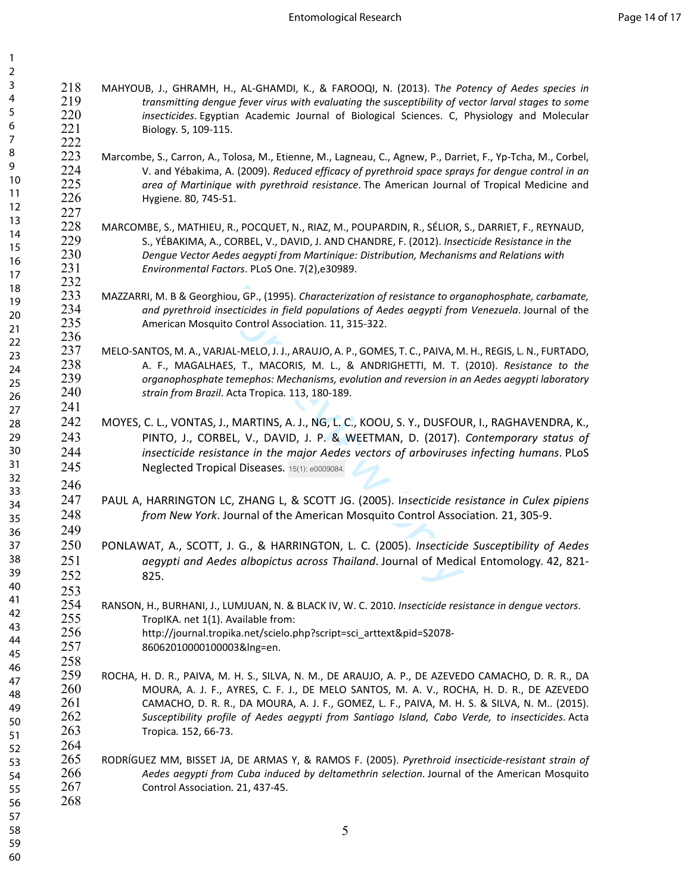- niou, GP., (1995). Characterization of resistance to org<br>
secticides in field populations of Aedes aegypti from<br>
ito Control Association. 11, 315-322.<br>
UAL-MELO, J. J., ARAUJO, A. P., GOMES, T. C., PAIVA, M<br>
NES, T., MACOR MAHYOUB, J., GHRAMH, H., AL-GHAMDI, K., & FAROOQI, N. (2013). T*he Potency of Aedes species in transmitting dengue fever virus with evaluating the susceptibility of vector larval stages to some insecticides*. Egyptian Academic Journal of Biological Sciences. C, Physiology and Molecular Biology*.* 5, 109-115. 223 Marcombe, S., Carron, A., Tolosa, M., Etienne, M., Lagneau, C., Agnew, P., Darriet, F., Yp-Tcha, M., Corbel,<br>224 V. and Yébakima, A. (2009). Reduced efficacy of pyrethroid space sprays for dengue control in an V. and Yébakima, A. (2009). *Reduced efficacy of pyrethroid space sprays for dengue control in an area of Martinique with pyrethroid resistance*. The American Journal of Tropical Medicine and Hygiene*.* 80, 745-51.  $\begin{array}{c} 227 \\ 228 \end{array}$ 228 MARCOMBE, S., MATHIEU, R., POCQUET, N., RIAZ, M., POUPARDIN, R., SÉLIOR, S., DARRIET, F., REYNAUD,<br>229 S., YÉBAKIMA, A., CORBEL, V., DAVID, J. AND CHANDRE, F. (2012). Insecticide Resistance in the S., YÉBAKIMA, A., CORBEL, V., DAVID, J. AND CHANDRE, F. (2012). *Insecticide Resistance in the Dengue Vector Aedes aegypti from Martinique: Distribution, Mechanisms and Relations with Environmental Factors*. [PLoS One.](https://www.ncbi.nlm.nih.gov/pmc/articles/PMC3283601/) 7(2),e30989. 232<br>233 MAZZARRI, M. B & Georghiou, GP., (1995). *Characterization of resistance to organophosphate, carbamate, and pyrethroid insecticides in field populations of Aedes aegypti from Venezuela*. Journal of the American Mosquito Control Association*.* 11, 315-322. MELO-SANTOS, M. A., VARJAL-MELO, J. J., ARAUJO, A. P., GOMES, T. C., PAIVA, M. H., REGIS, L. N., FURTADO, A. F., MAGALHAES, T., MACORIS, M. L., & ANDRIGHETTI, M. T. (2010). *Resistance to the organophosphate temephos: Mechanisms, evolution and reversion in an Aedes aegypti laboratory strain from Brazil*. Acta Tropica*.* 113, 180-189. MOYES, C. L., VONTAS, J., MARTINS, A. J., NG, L. C., KOOU, S. Y., DUSFOUR, I., RAGHAVENDRA, K., PINTO, J., CORBEL, V., DAVID, J. P. & WEETMAN, D. (2017). *Contemporary status of insecticide resistance in the major Aedes vectors of arboviruses infecting humans*. PLoS Neglected Tropical Diseases*.* 15(1): e0009084. PAUL A, HARRINGTON LC, ZHANG L, & SCOTT JG. (2005). I*nsecticide resistance in Culex pipiens from New York*. Journal of the American Mosquito Control Association*.* 21, 305-9. PONLAWAT, A., SCOTT, J. G., & HARRINGTON, L. C. (2005). *Insecticide Susceptibility of Aedes aegypti and Aedes albopictus across Thailand*. Journal of Medical Entomology*.* 42, 821- 825. RANSON, H., BURHANI, J., LUMJUAN, N. & BLACK IV, W. C. 2010. *Insecticide resistance in dengue vectors*. TropIKA. net 1(1). Available from: http://journal.tropika.net/scielo.php?script=sci\_arttext&pid=S2078- 86062010000100003&lng=en. ROCHA, H. D. R., PAIVA, M. H. S., SILVA, N. M., DE ARAUJO, A. P., DE AZEVEDO CAMACHO, D. R. R., DA MOURA, A. J. F., AYRES, C. F. J., DE MELO SANTOS, M. A. V., ROCHA, H. D. R., DE AZEVEDO CAMACHO, D. R. R., DA MOURA, A. J. F., GOMEZ, L. F., PAIVA, M. H. S. & SILVA, N. M.. (2015). *Susceptibility profile of Aedes aegypti from Santiago Island, Cabo Verde, to insecticides*. Acta Tropica*.* 152, 66-73. RODRÍGUEZ MM, BISSET JA, DE ARMAS Y, & RAMOS F. (2005). *Pyrethroid insecticide-resistant strain of Aedes aegypti from Cuba induced by deltamethrin selection*. Journal of the American Mosquito Control Association*.* 21, 437-45.
	-

- 
-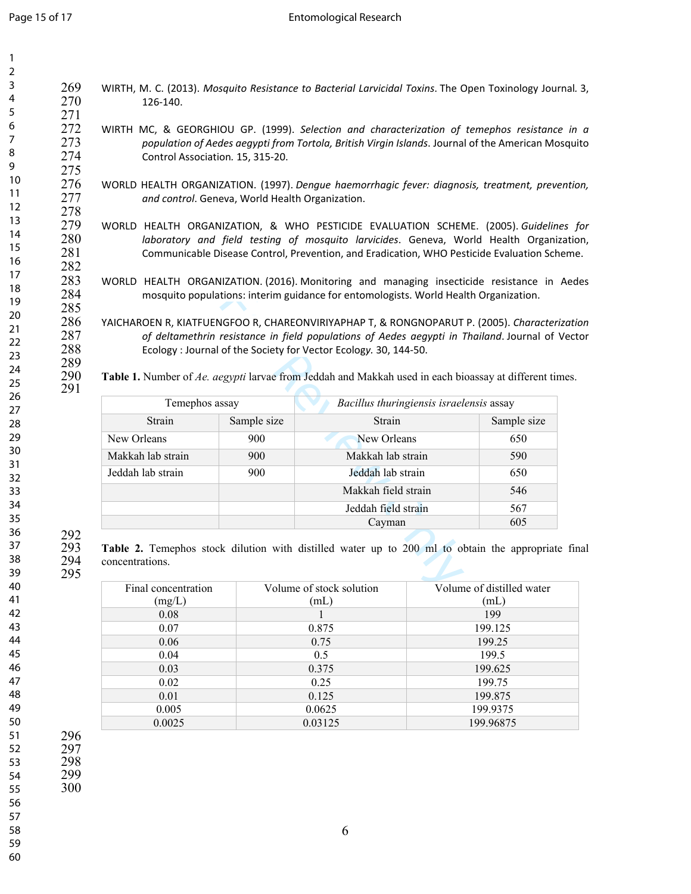| 269<br>WIRTH, M. C. (2013). Mosquito Resistance to Bacterial Larvicidal Toxins. The Open Toxinology Journal. 3,<br>270<br>126-140.     |                                                                                              |                                                                                                                                                                                        |                                          |             |
|----------------------------------------------------------------------------------------------------------------------------------------|----------------------------------------------------------------------------------------------|----------------------------------------------------------------------------------------------------------------------------------------------------------------------------------------|------------------------------------------|-------------|
| 272                                                                                                                                    | WIRTH MC, & GEORGHIOU GP. (1999). Selection and characterization of temephos resistance in a |                                                                                                                                                                                        |                                          |             |
| population of Aedes aegypti from Tortola, British Virgin Islands. Journal of the American Mosquito<br>Control Association. 15, 315-20. |                                                                                              |                                                                                                                                                                                        |                                          |             |
| 275<br>276<br>WORLD HEALTH ORGANIZATION. (1997). Dengue haemorrhagic fever: diagnosis, treatment, prevention,<br>277<br>278            | and control. Geneva, World Health Organization.                                              |                                                                                                                                                                                        |                                          |             |
| 279<br>WORLD HEALTH ORGANIZATION, & WHO PESTICIDE EVALUATION SCHEME. (2005). Guidelines for                                            |                                                                                              | laboratory and field testing of mosquito larvicides. Geneva, World Health Organization,<br>Communicable Disease Control, Prevention, and Eradication, WHO Pesticide Evaluation Scheme. |                                          |             |
|                                                                                                                                        |                                                                                              |                                                                                                                                                                                        |                                          |             |
| WORLD HEALTH ORGANIZATION. (2016). Monitoring and managing insecticide resistance in Aedes                                             |                                                                                              | mosquito populations: interim guidance for entomologists. World Health Organization.                                                                                                   |                                          |             |
| YAICHAROEN R, KIATFUENGFOO R, CHAREONVIRIYAPHAP T, & RONGNOPARUT P. (2005). Characterization                                           |                                                                                              | of deltamethrin resistance in field populations of Aedes aegypti in Thailand. Journal of Vector                                                                                        |                                          |             |
| 287<br>288                                                                                                                             |                                                                                              | Ecology: Journal of the Society for Vector Ecology. 30, 144-50.                                                                                                                        |                                          |             |
| 289                                                                                                                                    |                                                                                              |                                                                                                                                                                                        |                                          |             |
| Table 1. Number of Ae. aegypti larvae from Jeddah and Makkah used in each bioassay at different times.                                 |                                                                                              |                                                                                                                                                                                        |                                          |             |
| Temephos assay                                                                                                                         |                                                                                              |                                                                                                                                                                                        | Bacillus thuringiensis israelensis assay |             |
| Strain                                                                                                                                 | Sample size                                                                                  | Strain                                                                                                                                                                                 |                                          | Sample size |
|                                                                                                                                        |                                                                                              |                                                                                                                                                                                        |                                          |             |
| New Orleans                                                                                                                            | 900                                                                                          | New Orleans                                                                                                                                                                            |                                          | 650         |
| Makkah lab strain                                                                                                                      | 900                                                                                          | Makkah lab strain                                                                                                                                                                      |                                          | 590         |
| Jeddah lab strain                                                                                                                      | 900                                                                                          | Jeddah lab strain                                                                                                                                                                      |                                          | 650         |
|                                                                                                                                        |                                                                                              | Makkah field strain                                                                                                                                                                    |                                          | 546         |
|                                                                                                                                        |                                                                                              | Jeddah field strain                                                                                                                                                                    |                                          | 567         |
| Table 2. Temephos stock dilution with distilled water up to 200 ml to obtain the appropriate final<br>concentrations.                  |                                                                                              | Cayman                                                                                                                                                                                 |                                          | 605         |
| Final concentration<br>(mg/L)                                                                                                          |                                                                                              | Volume of stock solution<br>(mL)                                                                                                                                                       | Volume of distilled water                | (mL)        |
| 0.08                                                                                                                                   |                                                                                              | $\mathbf{1}$                                                                                                                                                                           |                                          | 199         |
| 0.07                                                                                                                                   |                                                                                              | 0.875                                                                                                                                                                                  |                                          | 199.125     |
| 0.06                                                                                                                                   |                                                                                              | 0.75                                                                                                                                                                                   |                                          | 199.25      |
| 0.04                                                                                                                                   |                                                                                              | 0.5                                                                                                                                                                                    |                                          | 199.5       |
| 0.03                                                                                                                                   |                                                                                              | 0.375                                                                                                                                                                                  |                                          | 199.625     |
| 0.02                                                                                                                                   |                                                                                              | 0.25                                                                                                                                                                                   | 199.75                                   |             |
| 0.01                                                                                                                                   |                                                                                              | 0.125                                                                                                                                                                                  |                                          | 199.875     |
| 290<br>294<br>0.005<br>0.0025                                                                                                          |                                                                                              | 0.0625<br>0.03125                                                                                                                                                                      | 199.9375                                 | 199.96875   |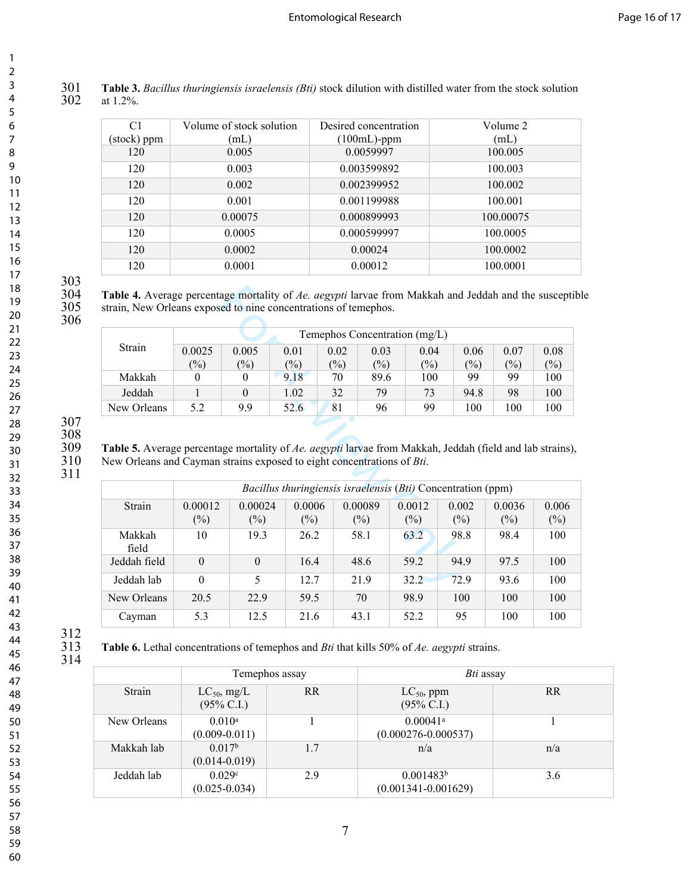| ,             |                      |
|---------------|----------------------|
| ļ             |                      |
| ļ             |                      |
|               |                      |
|               |                      |
|               |                      |
|               |                      |
|               |                      |
| )             |                      |
|               |                      |
|               | 10                   |
| 1             | 1                    |
| 1             | ,                    |
| 1             |                      |
| 1             | ļ                    |
| 1             |                      |
|               | $\ddot{\cdot}$       |
| $\frac{1}{2}$ |                      |
| 1<br>1<br>18  |                      |
|               | ś                    |
| ا (           | ∢                    |
|               | $\overline{20}$      |
|               | $\mathbf{r}$<br>1    |
|               |                      |
|               | ì                    |
|               | ļ                    |
|               | ı                    |
|               |                      |
|               |                      |
|               |                      |
|               |                      |
|               | Ś                    |
|               | $\overline{25}$<br>J |
|               | 3O                   |
|               | ì.<br>ı              |
| ś,            | ,                    |
| ś.            |                      |
|               |                      |
|               | )<br>}<br>į          |
|               | $\frac{1}{2}$        |
|               | $\frac{36}{1}$       |
| ś             |                      |
|               | $\frac{1}{3}$<br>ś   |
|               | 39                   |
|               |                      |
|               | 40                   |
| 41            |                      |
|               | 42                   |
| 43            |                      |
|               | 44                   |
| 45            |                      |
|               |                      |
|               | 46                   |
| 4             |                      |
|               | 48                   |
|               | 49                   |
|               | 50                   |
| 51            |                      |
|               |                      |
|               | 52                   |
|               | 53                   |
|               | 54                   |

301 **Table 3.** *Bacillus thuringiensis israelensis (Bti)* stock dilution with distilled water from the stock solution at  $1.2%$ .

| C <sub>1</sub> | Volume of stock solution | Desired concentration | Volume 2  |
|----------------|--------------------------|-----------------------|-----------|
| (stock) ppm    | mL                       | $(100mL)$ -ppm        | (mL)      |
| 120            | 0.005                    | 0.0059997             | 100.005   |
| 120            | 0.003                    | 0.003599892           | 100.003   |
| 120            | 0.002                    | 0.002399952           | 100.002   |
| 120            | 0.001                    | 0.001199988           | 100.001   |
| 120            | 0.00075                  | 0.000899993           | 100.00075 |
| 120            | 0.0005                   | 0.000599997           | 100.0005  |
| 120            | 0.0002                   | 0.00024               | 100.0002  |
| 120            | 0.0001                   | 0.00012               | 100.0001  |

303<br>304<br>305

306

|             | Temephos Concentration (mg/L) |                 |        |               |        |        |      |        |                 |
|-------------|-------------------------------|-----------------|--------|---------------|--------|--------|------|--------|-----------------|
| Strain      | 0.0025                        | 0.005           | 0.01   | 0.02          | 0.03   | 0.04   | 0.06 | 0.07   | 0.08            |
|             | $(\%)$                        | $\frac{(0)}{0}$ | $(\%)$ | $\frac{9}{0}$ | $(\%)$ | $(\%)$ | (%)  | $(\%)$ | $\frac{(0)}{0}$ |
| Makkah      |                               | 0               | 9.18   | 70            | 89.6   | 100    | 99   | 99     | 100             |
| Jeddah      |                               | 0               | 1.02   | 32            | 79     | 73     | 94.8 | 98     | 100             |
| New Orleans | 5.2                           | 9.9             | 52.6   | 81            | 96     | 99     | 100  | 100    | 100             |

307 308

311

309 **Table 5.** Average percentage mortality of *Ae. aegypti* larvae from Makkah, Jeddah (field and lab strains), New Orleans and Cayman strains exposed to eight concentrations of *Bti*.

| Table 4. Average percentage mortality of Ae. aegypti larvae from Makkah and Jeddah and the susceptib<br>strain, New Orleans exposed to nine concentrations of temephos. |                                                              |          |        |         |        |        |        |        |        |  |
|-------------------------------------------------------------------------------------------------------------------------------------------------------------------------|--------------------------------------------------------------|----------|--------|---------|--------|--------|--------|--------|--------|--|
|                                                                                                                                                                         | Temephos Concentration (mg/L)                                |          |        |         |        |        |        |        |        |  |
| Strain                                                                                                                                                                  | 0.0025                                                       | 0.005    | 0.01   | 0.02    | 0.03   | 0.04   | 0.06   | 0.07   | 0.08   |  |
|                                                                                                                                                                         | $(\%)$                                                       | $(\%)$   | $(\%)$ | $(\%)$  | $(\%)$ | $(\%)$ | $(\%)$ | $(\%)$ | $(\%)$ |  |
| Makkah                                                                                                                                                                  | $\Omega$                                                     | $\Omega$ | 9.18   | 70      | 89.6   | 100    | 99     | 99     | 100    |  |
| Jeddah                                                                                                                                                                  | 1                                                            | $\Omega$ | 1.02   | 32      | 79     | 73     | 94.8   | 98     | 100    |  |
| New Orleans                                                                                                                                                             | 5.2                                                          | 9.9      | 52.6   | 81      | 96     | 99     | 100    | 100    | 100    |  |
|                                                                                                                                                                         | Bacillus thuringiensis israelensis (Bti) Concentration (ppm) |          |        |         |        |        |        |        |        |  |
| Strain                                                                                                                                                                  | 0.00012                                                      | 0.00024  | 0.0006 | 0.00089 |        | 0.0012 | 0.002  | 0.0036 | 0.006  |  |
|                                                                                                                                                                         | $(\%)$                                                       | $(\%)$   | $(\%)$ | $(\%)$  |        | $(\%)$ | $(\%)$ | $(\%)$ | $(\%)$ |  |
| Makkah<br>field                                                                                                                                                         | 10                                                           | 19.3     | 26.2   | 58.1    |        | 63.2   | 98.8   | 98.4   | 100    |  |
| Jeddah field                                                                                                                                                            | $\theta$                                                     | $\theta$ | 16.4   | 48.6    |        | 59.2   | 94.9   | 97.5   | 100    |  |
| Jeddah lab                                                                                                                                                              | $\mathbf{0}$                                                 | 5        | 12.7   | 21.9    |        | 32.2   | 72.9   | 93.6   | 100    |  |
| New Orleans                                                                                                                                                             | 20.5                                                         | 22.9     | 59.5   | 70      |        | 98.9   | 100    | 100    | 100    |  |
| Cayman                                                                                                                                                                  | 5.3                                                          | 12.5     | 21.6   | 43.1    |        | 52.2   | 95     | 100    | 100    |  |

312  $\frac{31\overline{3}}{31\overline{4}}$ 

313 **Table 6.** Lethal concentrations of temephos and *Bti* that kills 50% of *Ae. aegypti* strains.

|             |                                         | Temephos assay | <i>Bti</i> assay                                  |           |  |
|-------------|-----------------------------------------|----------------|---------------------------------------------------|-----------|--|
| Strain      | $LC_{50}$ , mg/L<br>$(95\%$ C.I.)       | <b>RR</b>      | $LC_{50}$ , ppm<br>$(95\% \text{ C.I.})$          | <b>RR</b> |  |
| New Orleans | 0.010 <sup>a</sup><br>$(0.009 - 0.011)$ |                | $0.00041$ <sup>a</sup><br>$(0.000276 - 0.000537)$ |           |  |
| Makkah lab  | 0.017 <sup>b</sup><br>$(0.014 - 0.019)$ | 1.7            | n/a                                               | n/a       |  |
| Jeddah lab  | 0.029c<br>$(0.025 - 0.034)$             | 2.9            | 0.001483 <sup>b</sup><br>$(0.001341 - 0.001629)$  | 3.6       |  |

57 58